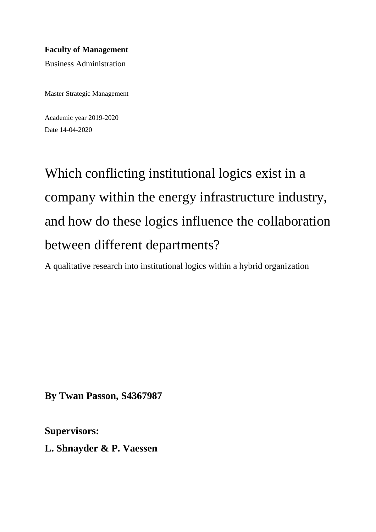## **Faculty of Management**

Business Administration

Master Strategic Management

Academic year 2019-2020 Date 14-04-2020

Which conflicting institutional logics exist in a company within the energy infrastructure industry, and how do these logics influence the collaboration between different departments?

A qualitative research into institutional logics within a hybrid organization

**By Twan Passon, S4367987**

**Supervisors:**

**L. Shnayder & P. Vaessen**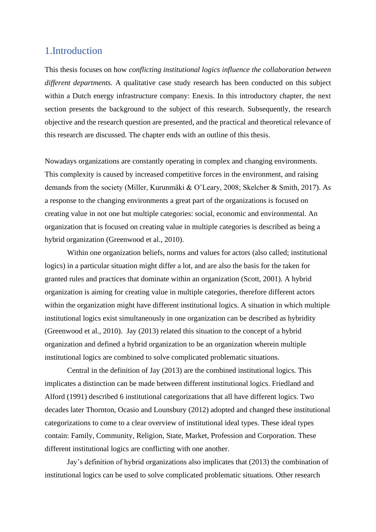## <span id="page-2-0"></span>1.Introduction

This thesis focuses on how *conflicting institutional logics influence the collaboration between different departments.* A qualitative case study research has been conducted on this subject within a Dutch energy infrastructure company: Enexis. In this introductory chapter, the next section presents the background to the subject of this research. Subsequently, the research objective and the research question are presented, and the practical and theoretical relevance of this research are discussed. The chapter ends with an outline of this thesis.

Nowadays organizations are constantly operating in complex and changing environments. This complexity is caused by increased competitive forces in the environment, and raising demands from the society (Miller, Kurunmäki & O'Leary, 2008; Skelcher & Smith, 2017). As a response to the changing environments a great part of the organizations is focused on creating value in not one but multiple categories: social, economic and environmental. An organization that is focused on creating value in multiple categories is described as being a hybrid organization (Greenwood et al., 2010).

Within one organization beliefs, norms and values for actors (also called; institutional logics) in a particular situation might differ a lot, and are also the basis for the taken for granted rules and practices that dominate within an organization (Scott, 2001). A hybrid organization is aiming for creating value in multiple categories, therefore different actors within the organization might have different institutional logics. A situation in which multiple institutional logics exist simultaneously in one organization can be described as hybridity (Greenwood et al., 2010). Jay (2013) related this situation to the concept of a hybrid organization and defined a hybrid organization to be an organization wherein multiple institutional logics are combined to solve complicated problematic situations.

Central in the definition of Jay (2013) are the combined institutional logics. This implicates a distinction can be made between different institutional logics. Friedland and Alford (1991) described 6 institutional categorizations that all have different logics. Two decades later Thornton, Ocasio and Lounsbury (2012) adopted and changed these institutional categorizations to come to a clear overview of institutional ideal types. These ideal types contain: Family, Community, Religion, State, Market, Profession and Corporation. These different institutional logics are conflicting with one another.

Jay's definition of hybrid organizations also implicates that (2013) the combination of institutional logics can be used to solve complicated problematic situations. Other research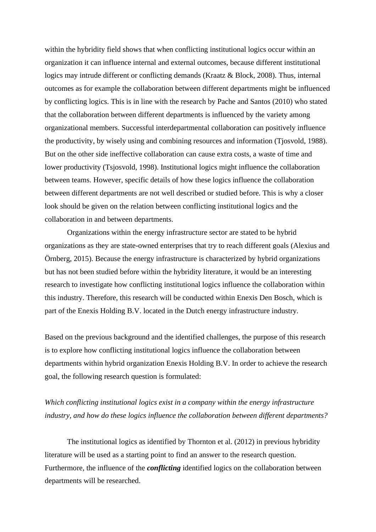within the hybridity field shows that when conflicting institutional logics occur within an organization it can influence internal and external outcomes, because different institutional logics may intrude different or conflicting demands (Kraatz & Block, 2008). Thus, internal outcomes as for example the collaboration between different departments might be influenced by conflicting logics. This is in line with the research by Pache and Santos (2010) who stated that the collaboration between different departments is influenced by the variety among organizational members. Successful interdepartmental collaboration can positively influence the productivity, by wisely using and combining resources and information (Tjosvold, 1988). But on the other side ineffective collaboration can cause extra costs, a waste of time and lower productivity (Tsjosvold, 1998). Institutional logics might influence the collaboration between teams. However, specific details of how these logics influence the collaboration between different departments are not well described or studied before. This is why a closer look should be given on the relation between conflicting institutional logics and the collaboration in and between departments.

Organizations within the energy infrastructure sector are stated to be hybrid organizations as they are state-owned enterprises that try to reach different goals (Alexius and Örnberg, 2015). Because the energy infrastructure is characterized by hybrid organizations but has not been studied before within the hybridity literature, it would be an interesting research to investigate how conflicting institutional logics influence the collaboration within this industry. Therefore, this research will be conducted within Enexis Den Bosch, which is part of the Enexis Holding B.V. located in the Dutch energy infrastructure industry.

Based on the previous background and the identified challenges, the purpose of this research is to explore how conflicting institutional logics influence the collaboration between departments within hybrid organization Enexis Holding B.V. In order to achieve the research goal, the following research question is formulated:

## *Which conflicting institutional logics exist in a company within the energy infrastructure industry, and how do these logics influence the collaboration between different departments?*

The institutional logics as identified by Thornton et al. (2012) in previous hybridity literature will be used as a starting point to find an answer to the research question. Furthermore, the influence of the *conflicting* identified logics on the collaboration between departments will be researched.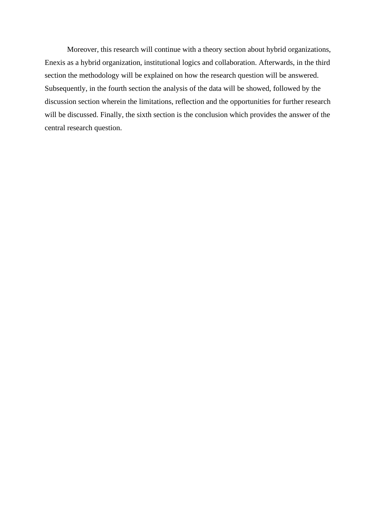Moreover, this research will continue with a theory section about hybrid organizations, Enexis as a hybrid organization, institutional logics and collaboration. Afterwards, in the third section the methodology will be explained on how the research question will be answered. Subsequently, in the fourth section the analysis of the data will be showed, followed by the discussion section wherein the limitations, reflection and the opportunities for further research will be discussed. Finally, the sixth section is the conclusion which provides the answer of the central research question.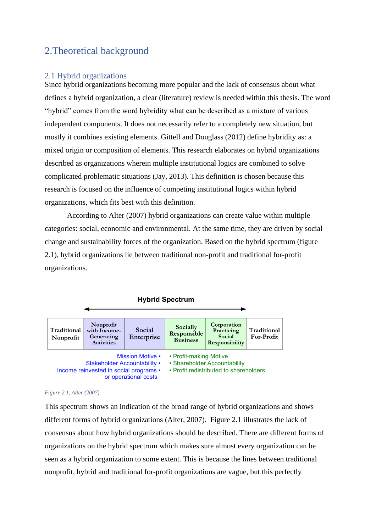## <span id="page-5-0"></span>2.Theoretical background

### <span id="page-5-1"></span>2.1 Hybrid organizations

Since hybrid organizations becoming more popular and the lack of consensus about what defines a hybrid organization, a clear (literature) review is needed within this thesis. The word "hybrid" comes from the word hybridity what can be described as a mixture of various independent components. It does not necessarily refer to a completely new situation, but mostly it combines existing elements. Gittell and Douglass (2012) define hybridity as: a mixed origin or composition of elements. This research elaborates on hybrid organizations described as organizations wherein multiple institutional logics are combined to solve complicated problematic situations (Jay, 2013). This definition is chosen because this research is focused on the influence of competing institutional logics within hybrid organizations, which fits best with this definition.

According to Alter (2007) hybrid organizations can create value within multiple categories: social, economic and environmental. At the same time, they are driven by social change and sustainability forces of the organization. Based on the hybrid spectrum (figure 2.1), hybrid organizations lie between traditional non-profit and traditional for-profit organizations.



#### *Figure 2.1, Alter (2007)*

This spectrum shows an indication of the broad range of hybrid organizations and shows different forms of hybrid organizations (Alter, 2007). Figure 2.1 illustrates the lack of consensus about how hybrid organizations should be described. There are different forms of organizations on the hybrid spectrum which makes sure almost every organization can be seen as a hybrid organization to some extent. This is because the lines between traditional nonprofit, hybrid and traditional for-profit organizations are vague, but this perfectly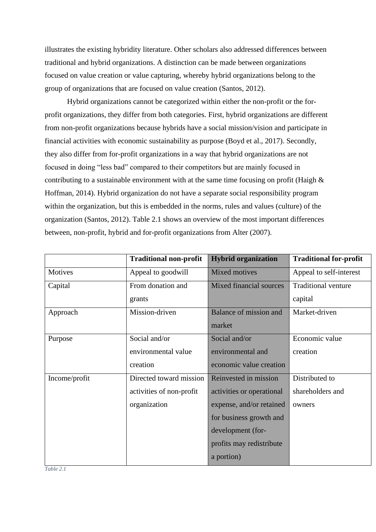illustrates the existing hybridity literature. Other scholars also addressed differences between traditional and hybrid organizations. A distinction can be made between organizations focused on value creation or value capturing, whereby hybrid organizations belong to the group of organizations that are focused on value creation (Santos, 2012).

Hybrid organizations cannot be categorized within either the non-profit or the forprofit organizations, they differ from both categories. First, hybrid organizations are different from non-profit organizations because hybrids have a social mission/vision and participate in financial activities with economic sustainability as purpose (Boyd et al., 2017). Secondly, they also differ from for-profit organizations in a way that hybrid organizations are not focused in doing "less bad" compared to their competitors but are mainly focused in contributing to a sustainable environment with at the same time focusing on profit (Haigh  $\&$ Hoffman, 2014). Hybrid organization do not have a separate social responsibility program within the organization, but this is embedded in the norms, rules and values (culture) of the organization (Santos, 2012). Table 2.1 shows an overview of the most important differences between, non-profit, hybrid and for-profit organizations from Alter (2007).

|               | <b>Traditional non-profit</b> | <b>Hybrid organization</b> | <b>Traditional for-profit</b> |
|---------------|-------------------------------|----------------------------|-------------------------------|
| Motives       | Appeal to goodwill            | Mixed motives              | Appeal to self-interest       |
| Capital       | From donation and             | Mixed financial sources    | <b>Traditional venture</b>    |
|               | grants                        |                            | capital                       |
| Approach      | Mission-driven                | Balance of mission and     | Market-driven                 |
|               |                               | market                     |                               |
| Purpose       | Social and/or                 | Social and/or              | Economic value                |
|               | environmental value           | environmental and          | creation                      |
|               | creation                      | economic value creation    |                               |
| Income/profit | Directed toward mission       | Reinvested in mission      | Distributed to                |
|               | activities of non-profit      | activities or operational  | shareholders and              |
|               | organization                  | expense, and/or retained   | owners                        |
|               |                               | for business growth and    |                               |
|               |                               | development (for-          |                               |
|               |                               | profits may redistribute   |                               |
|               |                               | a portion)                 |                               |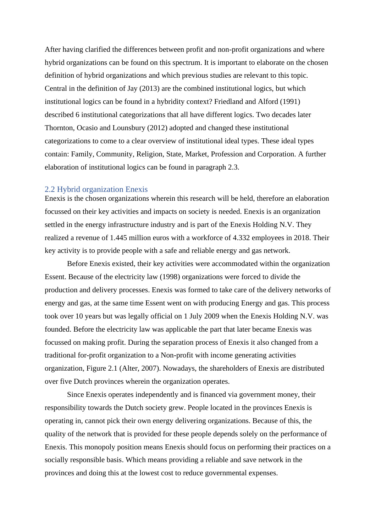After having clarified the differences between profit and non-profit organizations and where hybrid organizations can be found on this spectrum. It is important to elaborate on the chosen definition of hybrid organizations and which previous studies are relevant to this topic. Central in the definition of Jay (2013) are the combined institutional logics, but which institutional logics can be found in a hybridity context? Friedland and Alford (1991) described 6 institutional categorizations that all have different logics. Two decades later Thornton, Ocasio and Lounsbury (2012) adopted and changed these institutional categorizations to come to a clear overview of institutional ideal types. These ideal types contain: Family, Community, Religion, State, Market, Profession and Corporation. A further elaboration of institutional logics can be found in paragraph 2.3.

### <span id="page-7-0"></span>2.2 Hybrid organization Enexis

Enexis is the chosen organizations wherein this research will be held, therefore an elaboration focussed on their key activities and impacts on society is needed. Enexis is an organization settled in the energy infrastructure industry and is part of the Enexis Holding N.V. They realized a revenue of 1.445 million euros with a workforce of 4.332 employees in 2018. Their key activity is to provide people with a safe and reliable energy and gas network.

Before Enexis existed, their key activities were accommodated within the organization Essent. Because of the electricity law (1998) organizations were forced to divide the production and delivery processes. Enexis was formed to take care of the delivery networks of energy and gas, at the same time Essent went on with producing Energy and gas. This process took over 10 years but was legally official on 1 July 2009 when the Enexis Holding N.V. was founded. Before the electricity law was applicable the part that later became Enexis was focussed on making profit. During the separation process of Enexis it also changed from a traditional for-profit organization to a Non-profit with income generating activities organization, Figure 2.1 (Alter, 2007). Nowadays, the shareholders of Enexis are distributed over five Dutch provinces wherein the organization operates.

Since Enexis operates independently and is financed via government money, their responsibility towards the Dutch society grew. People located in the provinces Enexis is operating in, cannot pick their own energy delivering organizations. Because of this, the quality of the network that is provided for these people depends solely on the performance of Enexis. This monopoly position means Enexis should focus on performing their practices on a socially responsible basis. Which means providing a reliable and save network in the provinces and doing this at the lowest cost to reduce governmental expenses.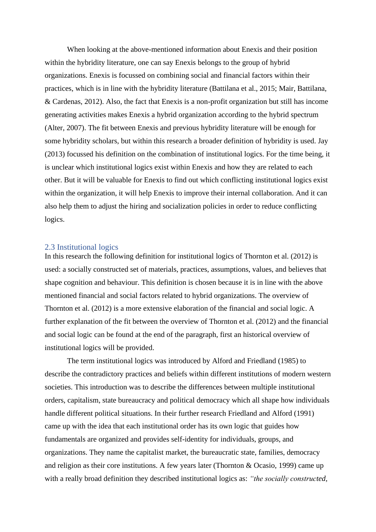When looking at the above-mentioned information about Enexis and their position within the hybridity literature, one can say Enexis belongs to the group of hybrid organizations. Enexis is focussed on combining social and financial factors within their practices, which is in line with the hybridity literature (Battilana et al., 2015; Mair, Battilana, & Cardenas, 2012). Also, the fact that Enexis is a non-profit organization but still has income generating activities makes Enexis a hybrid organization according to the hybrid spectrum (Alter, 2007). The fit between Enexis and previous hybridity literature will be enough for some hybridity scholars, but within this research a broader definition of hybridity is used. Jay (2013) focussed his definition on the combination of institutional logics. For the time being, it is unclear which institutional logics exist within Enexis and how they are related to each other. But it will be valuable for Enexis to find out which conflicting institutional logics exist within the organization, it will help Enexis to improve their internal collaboration. And it can also help them to adjust the hiring and socialization policies in order to reduce conflicting logics.

### <span id="page-8-0"></span>2.3 Institutional logics

In this research the following definition for institutional logics of Thornton et al. (2012) is used: a socially constructed set of materials, practices, assumptions, values, and believes that shape cognition and behaviour. This definition is chosen because it is in line with the above mentioned financial and social factors related to hybrid organizations. The overview of Thornton et al. (2012) is a more extensive elaboration of the financial and social logic. A further explanation of the fit between the overview of Thornton et al. (2012) and the financial and social logic can be found at the end of the paragraph, first an historical overview of institutional logics will be provided.

The term institutional logics was introduced by Alford and Friedland (1985) to describe the contradictory practices and beliefs within different institutions of modern western societies. This introduction was to describe the differences between multiple institutional orders, capitalism, state bureaucracy and political democracy which all shape how individuals handle different political situations. In their further research Friedland and Alford (1991) came up with the idea that each institutional order has its own logic that guides how fundamentals are organized and provides self-identity for individuals, groups, and organizations. They name the capitalist market, the bureaucratic state, families, democracy and religion as their core institutions. A few years later (Thornton & Ocasio, 1999) came up with a really broad definition they described institutional logics as: *"the socially constructed,*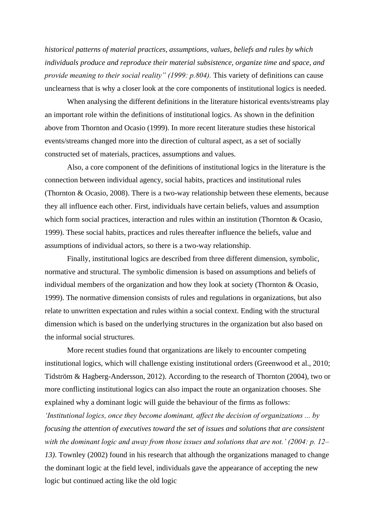*historical patterns of material practices, assumptions, values, beliefs and rules by which individuals produce and reproduce their material subsistence, organize time and space, and provide meaning to their social reality" (1999: p.804).* This variety of definitions can cause unclearness that is why a closer look at the core components of institutional logics is needed.

When analysing the different definitions in the literature historical events/streams play an important role within the definitions of institutional logics. As shown in the definition above from Thornton and Ocasio (1999). In more recent literature studies these historical events/streams changed more into the direction of cultural aspect, as a set of socially constructed set of materials, practices, assumptions and values.

Also, a core component of the definitions of institutional logics in the literature is the connection between individual agency, social habits, practices and institutional rules (Thornton & Ocasio, 2008). There is a two-way relationship between these elements, because they all influence each other. First, individuals have certain beliefs, values and assumption which form social practices, interaction and rules within an institution (Thornton & Ocasio, 1999). These social habits, practices and rules thereafter influence the beliefs, value and assumptions of individual actors, so there is a two-way relationship.

Finally, institutional logics are described from three different dimension, symbolic, normative and structural. The symbolic dimension is based on assumptions and beliefs of individual members of the organization and how they look at society (Thornton & Ocasio, 1999). The normative dimension consists of rules and regulations in organizations, but also relate to unwritten expectation and rules within a social context. Ending with the structural dimension which is based on the underlying structures in the organization but also based on the informal social structures.

More recent studies found that organizations are likely to encounter competing institutional logics, which will challenge existing institutional orders (Greenwood et al., 2010; Tidström & Hagberg-Andersson, 2012). According to the research of Thornton (2004), two or more conflicting institutional logics can also impact the route an organization chooses. She explained why a dominant logic will guide the behaviour of the firms as follows: *'Institutional logics, once they become dominant, affect the decision of organizations ... by focusing the attention of executives toward the set of issues and solutions that are consistent with the dominant logic and away from those issues and solutions that are not.' (2004: p. 12– 13)*. Townley (2002) found in his research that although the organizations managed to change the dominant logic at the field level, individuals gave the appearance of accepting the new logic but continued acting like the old logic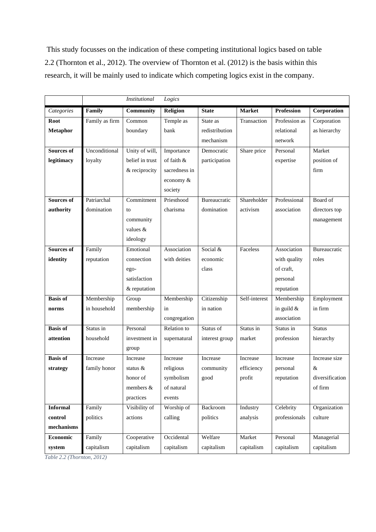This study focusses on the indication of these competing institutional logics based on table 2.2 (Thornton et al., 2012). The overview of Thornton et al. (2012) is the basis within this research, it will be mainly used to indicate which competing logics exist in the company.

|                   |                | <b>Institutional</b> | Logics        |                |               |                   |                 |
|-------------------|----------------|----------------------|---------------|----------------|---------------|-------------------|-----------------|
| Categories        | Family         | Community            | Religion      | <b>State</b>   | <b>Market</b> | <b>Profession</b> | Corporation     |
| Root              | Family as firm | Common               | Temple as     | State as       | Transaction   | Profession as     | Corporation     |
| <b>Metaphor</b>   |                | boundary             | bank          | redistribution |               | relational        | as hierarchy    |
|                   |                |                      |               | mechanism      |               | network           |                 |
| <b>Sources of</b> | Unconditional  | Unity of will,       | Importance    | Democratic     | Share price   | Personal          | Market          |
| legitimacy        | loyalty        | belief in trust      | of faith $\&$ | participation  |               | expertise         | position of     |
|                   |                | & reciprocity        | sacredness in |                |               |                   | firm            |
|                   |                |                      | economy &     |                |               |                   |                 |
|                   |                |                      | society       |                |               |                   |                 |
| <b>Sources of</b> | Patriarchal    | Commitment           | Priesthood    | Bureaucratic   | Shareholder   | Professional      | Board of        |
| authority         | domination     | to                   | charisma      | domination     | activism      | association       | directors top   |
|                   |                | community            |               |                |               |                   | management      |
|                   |                | values $\&$          |               |                |               |                   |                 |
|                   |                | ideology             |               |                |               |                   |                 |
| Sources of        | Family         | Emotional            | Association   | Social &       | Faceless      | Association       | Bureaucratic    |
| identity          | reputation     | connection           | with deities  | economic       |               | with quality      | roles           |
|                   |                | ego-                 |               | class          |               | of craft,         |                 |
|                   |                | satisfaction         |               |                |               | personal          |                 |
|                   |                | & reputation         |               |                |               | reputation        |                 |
| <b>Basis of</b>   | Membership     | Group                | Membership    | Citizenship    | Self-interest | Membership        | Employment      |
| norms             | in household   | membership           | in            | in nation      |               | in guild $&$      | in firm         |
|                   |                |                      | congregation  |                |               | association       |                 |
| <b>Basis of</b>   | Status in      | Personal             | Relation to   | Status of      | Status in     | Status in         | <b>Status</b>   |
| attention         | household      | investment in        | supernatural  | interest group | market        | profession        | hierarchy       |
|                   |                | group                |               |                |               |                   |                 |
| <b>Basis of</b>   | Increase       | Increase             | Increase      | Increase       | Increase      | Increase          | Increase size   |
| strategy          | family honor   | status $\&$          | religious     | community      | efficiency    | personal          | &               |
|                   |                | honor of             | symbolism     | good           | profit        | reputation        | diversification |
|                   |                | members &            | of natural    |                |               |                   | of firm         |
|                   |                | practices            | events        |                |               |                   |                 |
| <b>Informal</b>   | Family         | Visibility of        | Worship of    | Backroom       | Industry      | Celebrity         | Organization    |
| control           | politics       | actions              | calling       | politics       | analysis      | professionals     | culture         |
| mechanisms        |                |                      |               |                |               |                   |                 |
| Economic          | Family         | Cooperative          | Occidental    | Welfare        | Market        | Personal          | Managerial      |
| system            | capitalism     | capitalism           | capitalism    | capitalism     | capitalism    | capitalism        | capitalism      |

*Table 2.2 (Thornton, 2012)*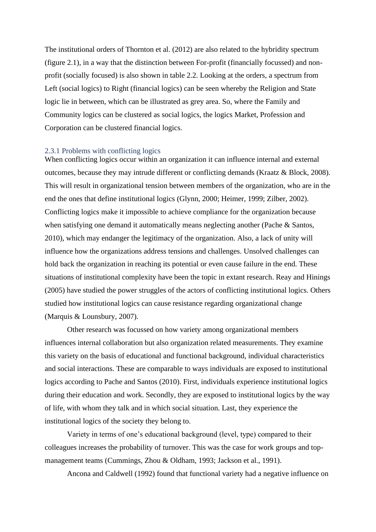The institutional orders of Thornton et al. (2012) are also related to the hybridity spectrum (figure 2.1), in a way that the distinction between For-profit (financially focussed) and nonprofit (socially focused) is also shown in table 2.2. Looking at the orders, a spectrum from Left (social logics) to Right (financial logics) can be seen whereby the Religion and State logic lie in between, which can be illustrated as grey area. So, where the Family and Community logics can be clustered as social logics, the logics Market, Profession and Corporation can be clustered financial logics.

### <span id="page-11-0"></span>2.3.1 Problems with conflicting logics

When conflicting logics occur within an organization it can influence internal and external outcomes, because they may intrude different or conflicting demands (Kraatz & Block, 2008). This will result in organizational tension between members of the organization, who are in the end the ones that define institutional logics (Glynn, 2000; Heimer, 1999; Zilber, 2002). Conflicting logics make it impossible to achieve compliance for the organization because when satisfying one demand it automatically means neglecting another (Pache & Santos, 2010), which may endanger the legitimacy of the organization. Also, a lack of unity will influence how the organizations address tensions and challenges. Unsolved challenges can hold back the organization in reaching its potential or even cause failure in the end. These situations of institutional complexity have been the topic in extant research. Reay and Hinings (2005) have studied the power struggles of the actors of conflicting institutional logics. Others studied how institutional logics can cause resistance regarding organizational change (Marquis & Lounsbury, 2007).

Other research was focussed on how variety among organizational members influences internal collaboration but also organization related measurements. They examine this variety on the basis of educational and functional background, individual characteristics and social interactions. These are comparable to ways individuals are exposed to institutional logics according to Pache and Santos (2010). First, individuals experience institutional logics during their education and work. Secondly, they are exposed to institutional logics by the way of life, with whom they talk and in which social situation. Last, they experience the institutional logics of the society they belong to.

Variety in terms of one's educational background (level, type) compared to their colleagues increases the probability of turnover. This was the case for work groups and topmanagement teams (Cummings, Zhou & Oldham, 1993; Jackson et al., 1991).

Ancona and Caldwell (1992) found that functional variety had a negative influence on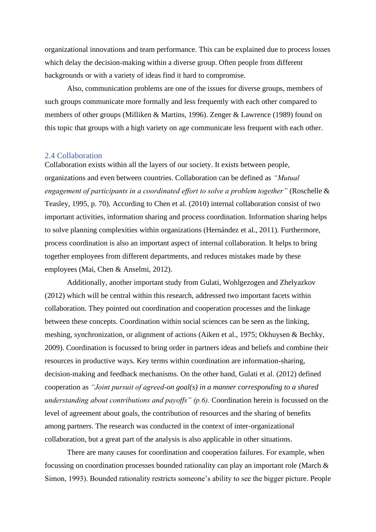organizational innovations and team performance. This can be explained due to process losses which delay the decision-making within a diverse group. Often people from different backgrounds or with a variety of ideas find it hard to compromise.

Also, communication problems are one of the issues for diverse groups, members of such groups communicate more formally and less frequently with each other compared to members of other groups (Milliken & Martins, 1996). Zenger & Lawrence (1989) found on this topic that groups with a high variety on age communicate less frequent with each other.

### <span id="page-12-0"></span>2.4 Collaboration

Collaboration exists within all the layers of our society. It exists between people, organizations and even between countries. Collaboration can be defined as *"Mutual engagement of participants in a coordinated effort to solve a problem together"* (Roschelle & Teasley, 1995, p. 70). According to Chen et al. (2010) internal collaboration consist of two important activities, information sharing and process coordination. Information sharing helps to solve planning complexities within organizations (Hernández et al., 2011). Furthermore, process coordination is also an important aspect of internal collaboration. It helps to bring together employees from different departments, and reduces mistakes made by these employees (Mai, Chen & Anselmi, 2012).

Additionally, another important study from Gulati, Wohlgezogen and Zhelyazkov (2012) which will be central within this research, addressed two important facets within collaboration. They pointed out coordination and cooperation processes and the linkage between these concepts. Coordination within social sciences can be seen as the linking, meshing, synchronization, or alignment of actions (Aiken et al., 1975; Okhuysen & Bechky, 2009). Coordination is focussed to bring order in partners ideas and beliefs and combine their resources in productive ways. Key terms within coordination are information-sharing, decision-making and feedback mechanisms. On the other hand, Gulati et al. (2012) defined cooperation as *"Joint pursuit of agreed-on goal(s) in a manner corresponding to a shared understanding about contributions and payoffs" (p.6).* Coordination herein is focussed on the level of agreement about goals, the contribution of resources and the sharing of benefits among partners. The research was conducted in the context of inter-organizational collaboration, but a great part of the analysis is also applicable in other situations.

There are many causes for coordination and cooperation failures. For example, when focussing on coordination processes bounded rationality can play an important role (March & Simon, 1993). Bounded rationality restricts someone's ability to see the bigger picture. People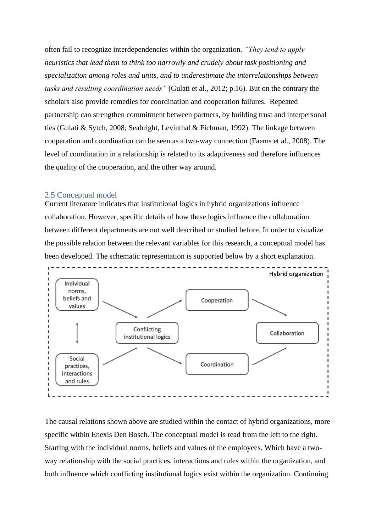often fail to recognize interdependencies within the organization. *"They tend to apply heuristics that lead them to think too narrowly and crudely about task positioning and specialization among roles and units, and to underestimate the interrelationships between tasks and resulting coordination needs"* (Gulati et al., 2012; p.16). But on the contrary the scholars also provide remedies for coordination and cooperation failures. Repeated partnership can strengthen commitment between partners, by building trust and interpersonal ties (Gulati & Sytch, 2008; Seabright, Levinthal & Fichman, 1992). The linkage between cooperation and coordination can be seen as a two-way connection (Faems et al., 2008). The level of coordination in a relationship is related to its adaptiveness and therefore influences the quality of the cooperation, and the other way around.

### <span id="page-13-0"></span>2.5 Conceptual model

Current literature indicates that institutional logics in hybrid organizations influence collaboration. However, specific details of how these logics influence the collaboration between different departments are not well described or studied before. In order to visualize the possible relation between the relevant variables for this research, a conceptual model has been developed. The schematic representation is supported below by a short explanation.



The causal relations shown above are studied within the contact of hybrid organizations, more specific within Enexis Den Bosch. The conceptual model is read from the left to the right. Starting with the individual norms, beliefs and values of the employees. Which have a twoway relationship with the social practices, interactions and rules within the organization, and both influence which conflicting institutional logics exist within the organization. Continuing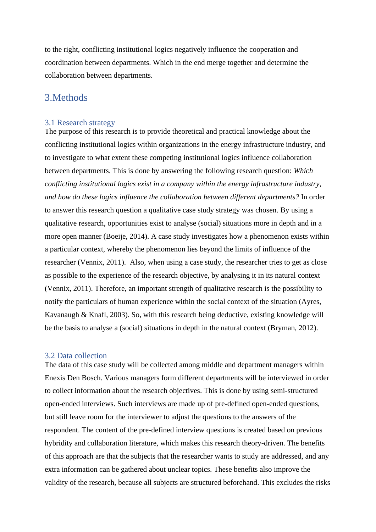to the right, conflicting institutional logics negatively influence the cooperation and coordination between departments. Which in the end merge together and determine the collaboration between departments.

## <span id="page-14-0"></span>3.Methods

### <span id="page-14-1"></span>3.1 Research strategy

The purpose of this research is to provide theoretical and practical knowledge about the conflicting institutional logics within organizations in the energy infrastructure industry, and to investigate to what extent these competing institutional logics influence collaboration between departments. This is done by answering the following research question: *Which conflicting institutional logics exist in a company within the energy infrastructure industry, and how do these logics influence the collaboration between different departments?* In order to answer this research question a qualitative case study strategy was chosen. By using a qualitative research, opportunities exist to analyse (social) situations more in depth and in a more open manner (Boeije, 2014). A case study investigates how a phenomenon exists within a particular context, whereby the phenomenon lies beyond the limits of influence of the researcher (Vennix, 2011). Also, when using a case study, the researcher tries to get as close as possible to the experience of the research objective, by analysing it in its natural context (Vennix, 2011). Therefore, an important strength of qualitative research is the possibility to notify the particulars of human experience within the social context of the situation (Ayres, Kavanaugh & Knafl, 2003). So, with this research being deductive, existing knowledge will be the basis to analyse a (social) situations in depth in the natural context (Bryman, 2012).

### <span id="page-14-2"></span>3.2 Data collection

The data of this case study will be collected among middle and department managers within Enexis Den Bosch. Various managers form different departments will be interviewed in order to collect information about the research objectives. This is done by using semi-structured open-ended interviews. Such interviews are made up of pre-defined open-ended questions, but still leave room for the interviewer to adjust the questions to the answers of the respondent. The content of the pre-defined interview questions is created based on previous hybridity and collaboration literature, which makes this research theory-driven. The benefits of this approach are that the subjects that the researcher wants to study are addressed, and any extra information can be gathered about unclear topics. These benefits also improve the validity of the research, because all subjects are structured beforehand. This excludes the risks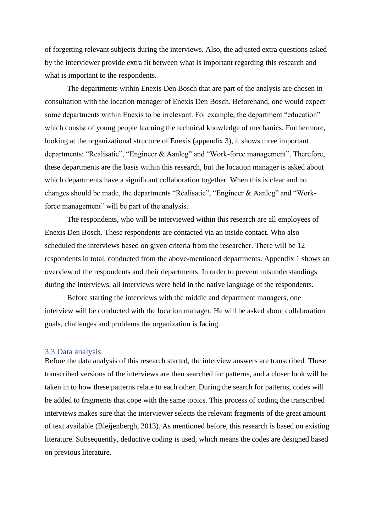of forgetting relevant subjects during the interviews. Also, the adjusted extra questions asked by the interviewer provide extra fit between what is important regarding this research and what is important to the respondents.

The departments within Enexis Den Bosch that are part of the analysis are chosen in consultation with the location manager of Enexis Den Bosch. Beforehand, one would expect some departments within Enexis to be irrelevant. For example, the department "education" which consist of young people learning the technical knowledge of mechanics. Furthermore, looking at the organizational structure of Enexis (appendix 3), it shows three important departments: "Realisatie", "Engineer & Aanleg" and "Work-force management". Therefore, these departments are the basis within this research, but the location manager is asked about which departments have a significant collaboration together. When this is clear and no changes should be made, the departments "Realisatie", "Engineer & Aanleg" and "Workforce management" will be part of the analysis.

The respondents, who will be interviewed within this research are all employees of Enexis Den Bosch. These respondents are contacted via an inside contact. Who also scheduled the interviews based on given criteria from the researcher. There will be 12 respondents in total, conducted from the above-mentioned departments. Appendix 1 shows an overview of the respondents and their departments. In order to prevent misunderstandings during the interviews, all interviews were held in the native language of the respondents.

Before starting the interviews with the middle and department managers, one interview will be conducted with the location manager. He will be asked about collaboration goals, challenges and problems the organization is facing.

### <span id="page-15-0"></span>3.3 Data analysis

Before the data analysis of this research started, the interview answers are transcribed. These transcribed versions of the interviews are then searched for patterns, and a closer look will be taken in to how these patterns relate to each other. During the search for patterns, codes will be added to fragments that cope with the same topics. This process of coding the transcribed interviews makes sure that the interviewer selects the relevant fragments of the great amount of text available (Bleijenbergh, 2013). As mentioned before, this research is based on existing literature. Subsequently, deductive coding is used, which means the codes are designed based on previous literature.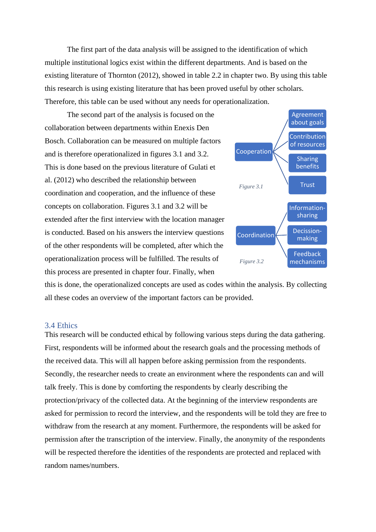The first part of the data analysis will be assigned to the identification of which multiple institutional logics exist within the different departments. And is based on the existing literature of Thornton (2012), showed in table 2.2 in chapter two. By using this table this research is using existing literature that has been proved useful by other scholars. Therefore, this table can be used without any needs for operationalization.

The second part of the analysis is focused on the collaboration between departments within Enexis Den Bosch. Collaboration can be measured on multiple factors and is therefore operationalized in figures 3.1 and 3.2. This is done based on the previous literature of Gulati et al. (2012) who described the relationship between coordination and cooperation, and the influence of these concepts on collaboration. Figures 3.1 and 3.2 will be extended after the first interview with the location manager is conducted. Based on his answers the interview questions of the other respondents will be completed, after which the operationalization process will be fulfilled. The results of this process are presented in chapter four. Finally, when



this is done, the operationalized concepts are used as codes within the analysis. By collecting all these codes an overview of the important factors can be provided.

### <span id="page-16-0"></span>3.4 Ethics

This research will be conducted ethical by following various steps during the data gathering. First, respondents will be informed about the research goals and the processing methods of the received data. This will all happen before asking permission from the respondents. Secondly, the researcher needs to create an environment where the respondents can and will talk freely. This is done by comforting the respondents by clearly describing the protection/privacy of the collected data. At the beginning of the interview respondents are asked for permission to record the interview, and the respondents will be told they are free to withdraw from the research at any moment. Furthermore, the respondents will be asked for permission after the transcription of the interview. Finally, the anonymity of the respondents will be respected therefore the identities of the respondents are protected and replaced with random names/numbers.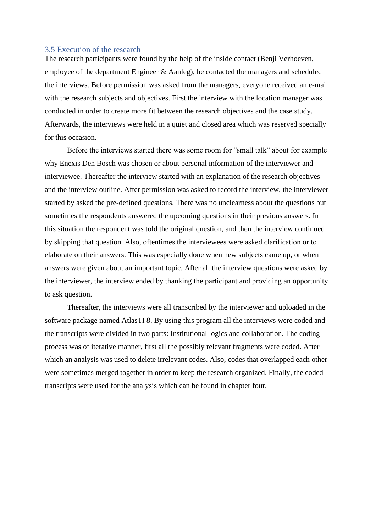### <span id="page-17-0"></span>3.5 Execution of the research

The research participants were found by the help of the inside contact (Benji Verhoeven, employee of the department Engineer & Aanleg), he contacted the managers and scheduled the interviews. Before permission was asked from the managers, everyone received an e-mail with the research subjects and objectives. First the interview with the location manager was conducted in order to create more fit between the research objectives and the case study. Afterwards, the interviews were held in a quiet and closed area which was reserved specially for this occasion.

Before the interviews started there was some room for "small talk" about for example why Enexis Den Bosch was chosen or about personal information of the interviewer and interviewee. Thereafter the interview started with an explanation of the research objectives and the interview outline. After permission was asked to record the interview, the interviewer started by asked the pre-defined questions. There was no unclearness about the questions but sometimes the respondents answered the upcoming questions in their previous answers. In this situation the respondent was told the original question, and then the interview continued by skipping that question. Also, oftentimes the interviewees were asked clarification or to elaborate on their answers. This was especially done when new subjects came up, or when answers were given about an important topic. After all the interview questions were asked by the interviewer, the interview ended by thanking the participant and providing an opportunity to ask question.

Thereafter, the interviews were all transcribed by the interviewer and uploaded in the software package named AtlasTI 8. By using this program all the interviews were coded and the transcripts were divided in two parts: Institutional logics and collaboration. The coding process was of iterative manner, first all the possibly relevant fragments were coded. After which an analysis was used to delete irrelevant codes. Also, codes that overlapped each other were sometimes merged together in order to keep the research organized. Finally, the coded transcripts were used for the analysis which can be found in chapter four.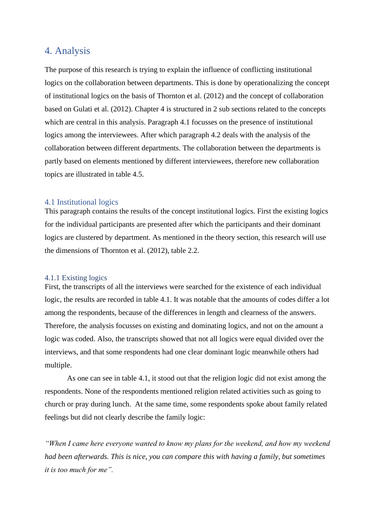## <span id="page-18-0"></span>4. Analysis

The purpose of this research is trying to explain the influence of conflicting institutional logics on the collaboration between departments. This is done by operationalizing the concept of institutional logics on the basis of Thornton et al. (2012) and the concept of collaboration based on Gulati et al. (2012). Chapter 4 is structured in 2 sub sections related to the concepts which are central in this analysis. Paragraph 4.1 focusses on the presence of institutional logics among the interviewees. After which paragraph 4.2 deals with the analysis of the collaboration between different departments. The collaboration between the departments is partly based on elements mentioned by different interviewees, therefore new collaboration topics are illustrated in table 4.5.

### <span id="page-18-1"></span>4.1 Institutional logics

This paragraph contains the results of the concept institutional logics. First the existing logics for the individual participants are presented after which the participants and their dominant logics are clustered by department. As mentioned in the theory section, this research will use the dimensions of Thornton et al. (2012), table 2.2.

### <span id="page-18-2"></span>4.1.1 Existing logics

First, the transcripts of all the interviews were searched for the existence of each individual logic, the results are recorded in table 4.1. It was notable that the amounts of codes differ a lot among the respondents, because of the differences in length and clearness of the answers. Therefore, the analysis focusses on existing and dominating logics, and not on the amount a logic was coded. Also, the transcripts showed that not all logics were equal divided over the interviews, and that some respondents had one clear dominant logic meanwhile others had multiple.

As one can see in table 4.1, it stood out that the religion logic did not exist among the respondents. None of the respondents mentioned religion related activities such as going to church or pray during lunch. At the same time, some respondents spoke about family related feelings but did not clearly describe the family logic:

*"When I came here everyone wanted to know my plans for the weekend, and how my weekend had been afterwards. This is nice, you can compare this with having a family, but sometimes it is too much for me".*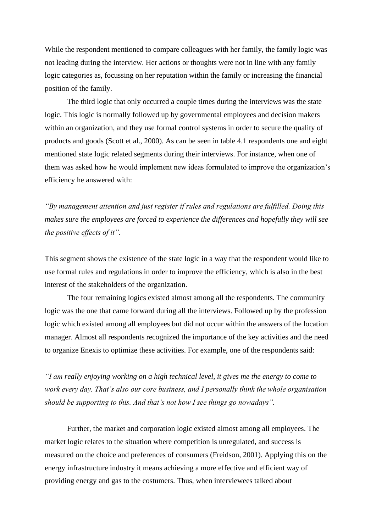While the respondent mentioned to compare colleagues with her family, the family logic was not leading during the interview. Her actions or thoughts were not in line with any family logic categories as, focussing on her reputation within the family or increasing the financial position of the family.

The third logic that only occurred a couple times during the interviews was the state logic. This logic is normally followed up by governmental employees and decision makers within an organization, and they use formal control systems in order to secure the quality of products and goods (Scott et al., 2000). As can be seen in table 4.1 respondents one and eight mentioned state logic related segments during their interviews. For instance, when one of them was asked how he would implement new ideas formulated to improve the organization's efficiency he answered with:

*"By management attention and just register if rules and regulations are fulfilled. Doing this makes sure the employees are forced to experience the differences and hopefully they will see the positive effects of it".*

This segment shows the existence of the state logic in a way that the respondent would like to use formal rules and regulations in order to improve the efficiency, which is also in the best interest of the stakeholders of the organization.

The four remaining logics existed almost among all the respondents. The community logic was the one that came forward during all the interviews. Followed up by the profession logic which existed among all employees but did not occur within the answers of the location manager. Almost all respondents recognized the importance of the key activities and the need to organize Enexis to optimize these activities. For example, one of the respondents said:

*"I am really enjoying working on a high technical level, it gives me the energy to come to work every day. That's also our core business, and I personally think the whole organisation should be supporting to this. And that's not how I see things go nowadays".* 

Further, the market and corporation logic existed almost among all employees. The market logic relates to the situation where competition is unregulated, and success is measured on the choice and preferences of consumers (Freidson, 2001). Applying this on the energy infrastructure industry it means achieving a more effective and efficient way of providing energy and gas to the costumers. Thus, when interviewees talked about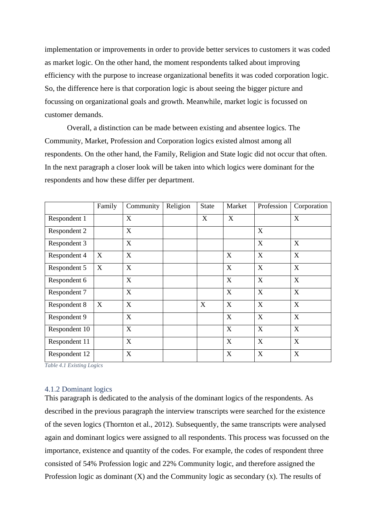implementation or improvements in order to provide better services to customers it was coded as market logic. On the other hand, the moment respondents talked about improving efficiency with the purpose to increase organizational benefits it was coded corporation logic. So, the difference here is that corporation logic is about seeing the bigger picture and focussing on organizational goals and growth. Meanwhile, market logic is focussed on customer demands.

Overall, a distinction can be made between existing and absentee logics. The Community, Market, Profession and Corporation logics existed almost among all respondents. On the other hand, the Family, Religion and State logic did not occur that often. In the next paragraph a closer look will be taken into which logics were dominant for the respondents and how these differ per department.

|               | Family | Community                 | Religion | <b>State</b> | Market      | Profession       | Corporation               |
|---------------|--------|---------------------------|----------|--------------|-------------|------------------|---------------------------|
| Respondent 1  |        | X                         |          | X            | X           |                  | $\boldsymbol{\mathrm{X}}$ |
| Respondent 2  |        | X                         |          |              |             | X                |                           |
| Respondent 3  |        | X                         |          |              |             | X                | X                         |
| Respondent 4  | X      | $\boldsymbol{\mathrm{X}}$ |          |              | X           | X                | $\boldsymbol{\mathrm{X}}$ |
| Respondent 5  | X      | X                         |          |              | X           | X                | $\boldsymbol{\mathrm{X}}$ |
| Respondent 6  |        | $\boldsymbol{\mathrm{X}}$ |          |              | X           | X                | $\boldsymbol{\mathrm{X}}$ |
| Respondent 7  |        | X                         |          |              | X           | X                | $\boldsymbol{\mathrm{X}}$ |
| Respondent 8  | X      | $\mathbf X$               |          | X            | X           | X                | X                         |
| Respondent 9  |        | X                         |          |              | X           | X                | $\boldsymbol{\mathrm{X}}$ |
| Respondent 10 |        | $\boldsymbol{\mathrm{X}}$ |          |              | $\mathbf X$ | X                | $\boldsymbol{\mathrm{X}}$ |
| Respondent 11 |        | X                         |          |              | X           | X                | $\mathbf X$               |
| Respondent 12 |        | X                         |          |              | X           | $\boldsymbol{X}$ | $\boldsymbol{\mathrm{X}}$ |

*Table 4.1 Existing Logics* 

### <span id="page-20-0"></span>4.1.2 Dominant logics

This paragraph is dedicated to the analysis of the dominant logics of the respondents. As described in the previous paragraph the interview transcripts were searched for the existence of the seven logics (Thornton et al., 2012). Subsequently, the same transcripts were analysed again and dominant logics were assigned to all respondents. This process was focussed on the importance, existence and quantity of the codes. For example, the codes of respondent three consisted of 54% Profession logic and 22% Community logic, and therefore assigned the Profession logic as dominant  $(X)$  and the Community logic as secondary  $(x)$ . The results of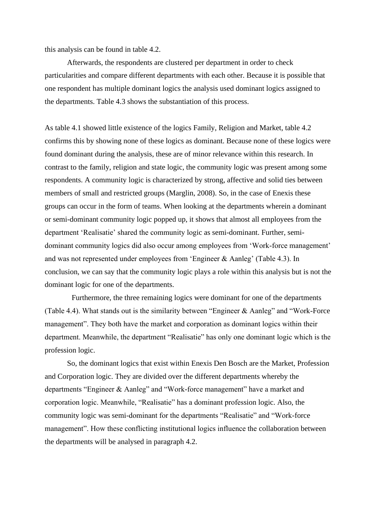this analysis can be found in table 4.2.

Afterwards, the respondents are clustered per department in order to check particularities and compare different departments with each other. Because it is possible that one respondent has multiple dominant logics the analysis used dominant logics assigned to the departments. Table 4.3 shows the substantiation of this process.

As table 4.1 showed little existence of the logics Family, Religion and Market, table 4.2 confirms this by showing none of these logics as dominant. Because none of these logics were found dominant during the analysis, these are of minor relevance within this research. In contrast to the family, religion and state logic, the community logic was present among some respondents. A community logic is characterized by strong, affective and solid ties between members of small and restricted groups (Marglin, 2008). So, in the case of Enexis these groups can occur in the form of teams. When looking at the departments wherein a dominant or semi-dominant community logic popped up, it shows that almost all employees from the department 'Realisatie' shared the community logic as semi-dominant. Further, semidominant community logics did also occur among employees from 'Work-force management' and was not represented under employees from 'Engineer & Aanleg' (Table 4.3). In conclusion, we can say that the community logic plays a role within this analysis but is not the dominant logic for one of the departments.

Furthermore, the three remaining logics were dominant for one of the departments (Table 4.4). What stands out is the similarity between "Engineer & Aanleg" and "Work-Force management". They both have the market and corporation as dominant logics within their department. Meanwhile, the department "Realisatie" has only one dominant logic which is the profession logic.

So, the dominant logics that exist within Enexis Den Bosch are the Market, Profession and Corporation logic. They are divided over the different departments whereby the departments "Engineer & Aanleg" and "Work-force management" have a market and corporation logic. Meanwhile, "Realisatie" has a dominant profession logic. Also, the community logic was semi-dominant for the departments "Realisatie" and "Work-force management". How these conflicting institutional logics influence the collaboration between the departments will be analysed in paragraph 4.2.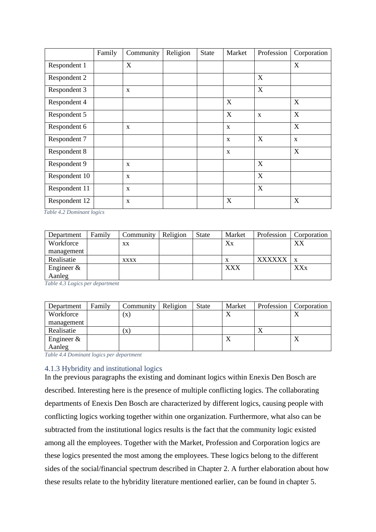|               | Family | Community    | Religion | <b>State</b> | Market      | Profession   | Corporation      |
|---------------|--------|--------------|----------|--------------|-------------|--------------|------------------|
| Respondent 1  |        | $\mathbf X$  |          |              |             |              | $\boldsymbol{X}$ |
| Respondent 2  |        |              |          |              |             | X            |                  |
| Respondent 3  |        | X            |          |              |             | X            |                  |
| Respondent 4  |        |              |          |              | X           |              | X                |
| Respondent 5  |        |              |          |              | X           | $\mathbf{x}$ | X                |
| Respondent 6  |        | X            |          |              | X           |              | X                |
| Respondent 7  |        |              |          |              | $\mathbf X$ | X            | X                |
| Respondent 8  |        |              |          |              | $\mathbf X$ |              | X                |
| Respondent 9  |        | $\mathbf{x}$ |          |              |             | X            |                  |
| Respondent 10 |        | $\mathbf X$  |          |              |             | X            |                  |
| Respondent 11 |        | X            |          |              |             | X            |                  |
| Respondent 12 |        | X            |          |              | X           |              | X                |

*Table 4.2 Dominant logics* 

| Department    | Family | Community   | Religion | <b>State</b> | Market     | Profession    | Corporation |
|---------------|--------|-------------|----------|--------------|------------|---------------|-------------|
| Workforce     |        | XX          |          |              | Xx         |               | XX          |
| management    |        |             |          |              |            |               |             |
| Realisatie    |        | <b>XXXX</b> |          |              |            | <b>XXXXXX</b> | X           |
| Engineer $\&$ |        |             |          |              | <b>XXX</b> |               | XXx         |
| Aanleg        |        |             |          |              |            |               |             |

*Table 4.3 Logics per department* 

| Department    | Family | Community                 | Religion | State | Market    | Profession | Corporation |
|---------------|--------|---------------------------|----------|-------|-----------|------------|-------------|
| Workforce     |        | $(\mathbf{X})$            |          |       |           |            | $\Lambda$   |
| management    |        |                           |          |       |           |            |             |
| Realisatie    |        | $\boldsymbol{\mathrm{X}}$ |          |       |           | 48.        |             |
| Engineer $\&$ |        |                           |          |       | $\Lambda$ |            | △           |
| Aanleg        |        |                           |          |       |           |            |             |

*Table 4.4 Dominant logics per department* 

### <span id="page-22-0"></span>4.1.3 Hybridity and institutional logics

In the previous paragraphs the existing and dominant logics within Enexis Den Bosch are described. Interesting here is the presence of multiple conflicting logics. The collaborating departments of Enexis Den Bosch are characterized by different logics, causing people with conflicting logics working together within one organization. Furthermore, what also can be subtracted from the institutional logics results is the fact that the community logic existed among all the employees. Together with the Market, Profession and Corporation logics are these logics presented the most among the employees. These logics belong to the different sides of the social/financial spectrum described in Chapter 2. A further elaboration about how these results relate to the hybridity literature mentioned earlier, can be found in chapter 5.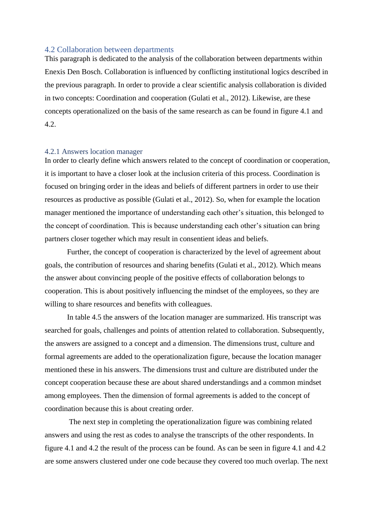#### <span id="page-23-0"></span>4.2 Collaboration between departments

This paragraph is dedicated to the analysis of the collaboration between departments within Enexis Den Bosch. Collaboration is influenced by conflicting institutional logics described in the previous paragraph. In order to provide a clear scientific analysis collaboration is divided in two concepts: Coordination and cooperation (Gulati et al., 2012). Likewise, are these concepts operationalized on the basis of the same research as can be found in figure 4.1 and 4.2.

#### <span id="page-23-1"></span>4.2.1 Answers location manager

In order to clearly define which answers related to the concept of coordination or cooperation, it is important to have a closer look at the inclusion criteria of this process. Coordination is focused on bringing order in the ideas and beliefs of different partners in order to use their resources as productive as possible (Gulati et al., 2012). So, when for example the location manager mentioned the importance of understanding each other's situation, this belonged to the concept of coordination. This is because understanding each other's situation can bring partners closer together which may result in consentient ideas and beliefs.

Further, the concept of cooperation is characterized by the level of agreement about goals, the contribution of resources and sharing benefits (Gulati et al., 2012). Which means the answer about convincing people of the positive effects of collaboration belongs to cooperation. This is about positively influencing the mindset of the employees, so they are willing to share resources and benefits with colleagues.

In table 4.5 the answers of the location manager are summarized. His transcript was searched for goals, challenges and points of attention related to collaboration. Subsequently, the answers are assigned to a concept and a dimension. The dimensions trust, culture and formal agreements are added to the operationalization figure, because the location manager mentioned these in his answers. The dimensions trust and culture are distributed under the concept cooperation because these are about shared understandings and a common mindset among employees. Then the dimension of formal agreements is added to the concept of coordination because this is about creating order.

The next step in completing the operationalization figure was combining related answers and using the rest as codes to analyse the transcripts of the other respondents. In figure 4.1 and 4.2 the result of the process can be found. As can be seen in figure 4.1 and 4.2 are some answers clustered under one code because they covered too much overlap. The next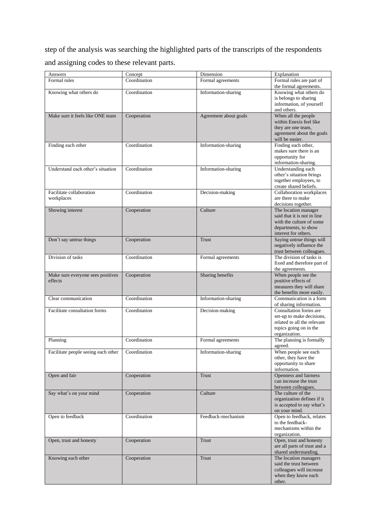step of the analysis was searching the highlighted parts of the transcripts of the respondents and assigning codes to these relevant parts.

| Answers                                      | Concept      | Dimension             | Explanation                                                                                                                     |
|----------------------------------------------|--------------|-----------------------|---------------------------------------------------------------------------------------------------------------------------------|
| Formal rules                                 | Coordination | Formal agreements     | Formal rules are part of<br>the formal agreements.                                                                              |
| Knowing what others do                       | Coordination | Information-sharing   | Knowing what others do<br>is belongs to sharing<br>information, of yourself<br>and others.                                      |
| Make sure it feels like ONE team             | Cooperation  | Agreement about goals | When all the people<br>within Enexis feel like<br>they are one team,<br>agreement about the goals<br>will be easier.            |
| Finding each other                           | Coordination | Information-sharing   | Finding each other,<br>makes sure there is an<br>opportunity for<br>information-sharing.                                        |
| Understand each other's situation            | Coordination | Information-sharing   | Understanding each<br>other's situation brings<br>together employees, to<br>create shared beliefs.                              |
| Facilitate collaboration<br>workplaces       | Coordination | Decision-making       | Collaboration workplaces<br>are there to make<br>decisions together.                                                            |
| Showing interest                             | Cooperation  | Culture               | The location manager<br>said that it is not in line<br>with the culture of some<br>departments, to show<br>interest for others. |
| Don't say untrue things                      | Cooperation  | Trust                 | Saying untrue things will<br>negatively influence the<br>trust between colleagues.                                              |
| Division of tasks                            | Coordination | Formal agreements     | The division of tasks is<br>fixed and therefore part of<br>the agreements.                                                      |
| Make sure everyone sees positives<br>effects | Cooperation  | Sharing benefits      | When people see the<br>positive effects of<br>measures they will share<br>the benefits more easily.                             |
| Clear communication                          | Coordination | Information-sharing   | Communication is a form<br>of sharing information.                                                                              |
| Facilitate consultation forms                | Coordination | Decision-making       | Consultation forms are<br>set-up to make decisions,<br>related to all the relevant<br>topics going on in the<br>organization.   |
| Planning                                     | Coordination | Formal agreements     | The planning is formally<br>agreed.                                                                                             |
| Facilitate people seeing each other          | Coordination | Information-sharing   | When people see each<br>other, they have the<br>opportunity to share<br>information.                                            |
| Open and fair                                | Cooperation  | <b>Trust</b>          | Openness and fairness<br>can increase the trust<br>between colleagues.                                                          |
| Say what's on your mind                      | Cooperation  | Culture               | The culture of the<br>organization defines if it<br>is accepted to say what's<br>on your mind.                                  |
| Open to feedback                             | Coordination | Feedback-mechanism    | Open to feedback, relates<br>to the feedback-<br>mechanisms within the<br>organization.                                         |
| Open, trust and honesty                      | Cooperation  | Trust                 | Open, trust and honesty<br>are all parts of trust and a<br>shared understanding.                                                |
| Knowing each other                           | Cooperation  | Trust                 | The location managers<br>said the trust between<br>colleagues will increase<br>when they know each<br>other.                    |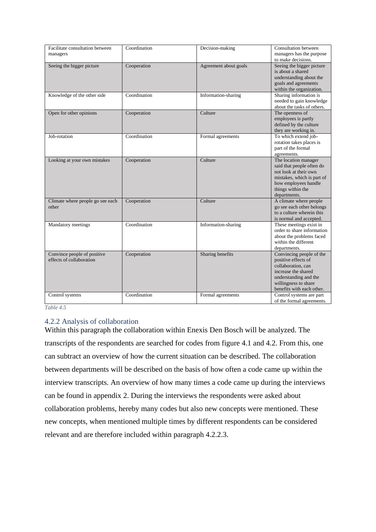| Facilitate consultation between  | Coordination | Decision-making       | Consultation between       |
|----------------------------------|--------------|-----------------------|----------------------------|
| managers                         |              |                       | managers has the purpose   |
|                                  |              |                       | to make decisions.         |
| Seeing the bigger picture        | Cooperation  | Agreement about goals | Seeing the bigger picture  |
|                                  |              |                       | is about a shared          |
|                                  |              |                       | understanding about the    |
|                                  |              |                       | goals and agreements       |
|                                  |              |                       | within the organization.   |
| Knowledge of the other side      | Coordination | Information-sharing   | Sharing information is     |
|                                  |              |                       | needed to gain knowledge   |
|                                  |              |                       | about the tasks of others. |
| Open for other opinions          | Cooperation  | Culture               | The openness of            |
|                                  |              |                       | employees is partly        |
|                                  |              |                       | defined by the culture     |
|                                  |              |                       | they are working in.       |
| Job-rotation                     | Coordination | Formal agreements     | To which extend job-       |
|                                  |              |                       | rotation takes places is   |
|                                  |              |                       | part of the formal         |
|                                  |              |                       | agreements.                |
| Looking at your own mistakes     | Cooperation  | Culture               | The location manager       |
|                                  |              |                       | said that people often do  |
|                                  |              |                       | not look at their own      |
|                                  |              |                       | mistakes, which is part of |
|                                  |              |                       | how employees handle       |
|                                  |              |                       | things within the          |
|                                  |              |                       | departments.               |
| Climate where people go see each | Cooperation  | Culture               | A climate where people     |
| other                            |              |                       | go see each other belongs  |
|                                  |              |                       | to a culture wherein this  |
|                                  |              |                       | is normal and accepted.    |
| Mandatory meetings               | Coordination | Information-sharing   | These meetings exist in    |
|                                  |              |                       | order to share information |
|                                  |              |                       | about the problems faced   |
|                                  |              |                       | within the different       |
|                                  |              |                       | departments.               |
| Convince people of positive      | Cooperation  | Sharing benefits      | Convincing people of the   |
| effects of collaboration         |              |                       | positive effects of        |
|                                  |              |                       | collaboration, can         |
|                                  |              |                       | increase the shared        |
|                                  |              |                       | understanding and the      |
|                                  |              |                       | willingness to share       |
|                                  |              |                       | benefits with each other.  |
| Control systems                  | Coordination | Formal agreements     | Control systems are part   |
|                                  |              |                       | of the formal agreements.  |

*Table 4.5*

### <span id="page-25-0"></span>4.2.2 Analysis of collaboration

Within this paragraph the collaboration within Enexis Den Bosch will be analyzed. The transcripts of the respondents are searched for codes from figure 4.1 and 4.2. From this, one can subtract an overview of how the current situation can be described. The collaboration between departments will be described on the basis of how often a code came up within the interview transcripts. An overview of how many times a code came up during the interviews can be found in appendix 2. During the interviews the respondents were asked about collaboration problems, hereby many codes but also new concepts were mentioned. These new concepts, when mentioned multiple times by different respondents can be considered relevant and are therefore included within paragraph 4.2.2.3.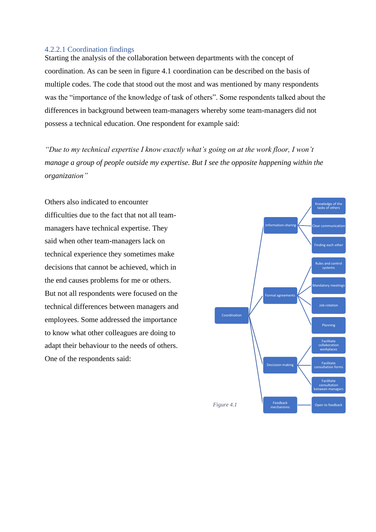### 4.2.2.1 Coordination findings

Starting the analysis of the collaboration between departments with the concept of coordination. As can be seen in figure 4.1 coordination can be described on the basis of multiple codes. The code that stood out the most and was mentioned by many respondents was the "importance of the knowledge of task of others". Some respondents talked about the differences in background between team-managers whereby some team-managers did not possess a technical education. One respondent for example said:

*"Due to my technical expertise I know exactly what's going on at the work floor, I won't manage a group of people outside my expertise. But I see the opposite happening within the organization"* 

Others also indicated to encounter difficulties due to the fact that not all teammanagers have technical expertise. They said when other team-managers lack on technical experience they sometimes make decisions that cannot be achieved, which in the end causes problems for me or others. But not all respondents were focused on the technical differences between managers and employees. Some addressed the importance to know what other colleagues are doing to adapt their behaviour to the needs of others. One of the respondents said:

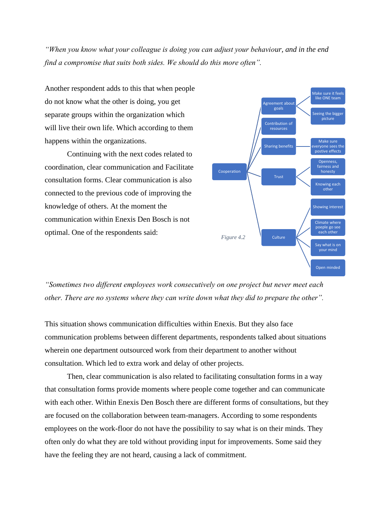*"When you know what your colleague is doing you can adjust your behaviour, and in the end find a compromise that suits both sides. We should do this more often".*

Another respondent adds to this that when people do not know what the other is doing, you get separate groups within the organization which will live their own life. Which according to them happens within the organizations.

Continuing with the next codes related to coordination, clear communication and Facilitate consultation forms. Clear communication is also connected to the previous code of improving the knowledge of others. At the moment the communication within Enexis Den Bosch is not optimal. One of the respondents said:



*"Sometimes two different employees work consecutively on one project but never meet each other. There are no systems where they can write down what they did to prepare the other".* 

This situation shows communication difficulties within Enexis. But they also face communication problems between different departments, respondents talked about situations wherein one department outsourced work from their department to another without consultation. Which led to extra work and delay of other projects.

Then, clear communication is also related to facilitating consultation forms in a way that consultation forms provide moments where people come together and can communicate with each other. Within Enexis Den Bosch there are different forms of consultations, but they are focused on the collaboration between team-managers. According to some respondents employees on the work-floor do not have the possibility to say what is on their minds. They often only do what they are told without providing input for improvements. Some said they have the feeling they are not heard, causing a lack of commitment.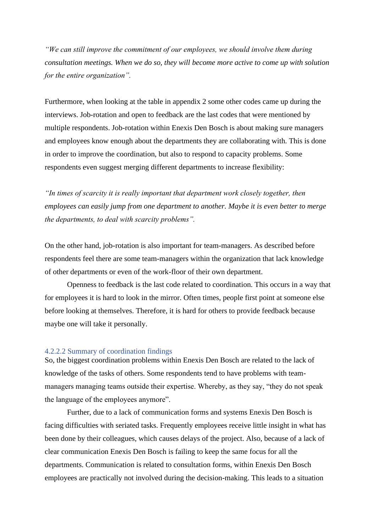*"We can still improve the commitment of our employees, we should involve them during consultation meetings. When we do so, they will become more active to come up with solution for the entire organization".* 

Furthermore, when looking at the table in appendix 2 some other codes came up during the interviews. Job-rotation and open to feedback are the last codes that were mentioned by multiple respondents. Job-rotation within Enexis Den Bosch is about making sure managers and employees know enough about the departments they are collaborating with. This is done in order to improve the coordination, but also to respond to capacity problems. Some respondents even suggest merging different departments to increase flexibility:

*"In times of scarcity it is really important that department work closely together, then employees can easily jump from one department to another. Maybe it is even better to merge the departments, to deal with scarcity problems".*

On the other hand, job-rotation is also important for team-managers. As described before respondents feel there are some team-managers within the organization that lack knowledge of other departments or even of the work-floor of their own department.

Openness to feedback is the last code related to coordination. This occurs in a way that for employees it is hard to look in the mirror. Often times, people first point at someone else before looking at themselves. Therefore, it is hard for others to provide feedback because maybe one will take it personally.

### 4.2.2.2 Summary of coordination findings

So, the biggest coordination problems within Enexis Den Bosch are related to the lack of knowledge of the tasks of others. Some respondents tend to have problems with teammanagers managing teams outside their expertise. Whereby, as they say, "they do not speak the language of the employees anymore".

Further, due to a lack of communication forms and systems Enexis Den Bosch is facing difficulties with seriated tasks. Frequently employees receive little insight in what has been done by their colleagues, which causes delays of the project. Also, because of a lack of clear communication Enexis Den Bosch is failing to keep the same focus for all the departments. Communication is related to consultation forms, within Enexis Den Bosch employees are practically not involved during the decision-making. This leads to a situation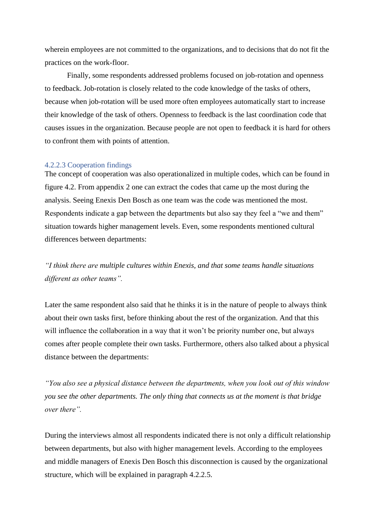wherein employees are not committed to the organizations, and to decisions that do not fit the practices on the work-floor.

Finally, some respondents addressed problems focused on job-rotation and openness to feedback. Job-rotation is closely related to the code knowledge of the tasks of others, because when job-rotation will be used more often employees automatically start to increase their knowledge of the task of others. Openness to feedback is the last coordination code that causes issues in the organization. Because people are not open to feedback it is hard for others to confront them with points of attention.

#### 4.2.2.3 Cooperation findings

The concept of cooperation was also operationalized in multiple codes, which can be found in figure 4.2. From appendix 2 one can extract the codes that came up the most during the analysis. Seeing Enexis Den Bosch as one team was the code was mentioned the most. Respondents indicate a gap between the departments but also say they feel a "we and them" situation towards higher management levels. Even, some respondents mentioned cultural differences between departments:

*"I think there are multiple cultures within Enexis, and that some teams handle situations different as other teams".* 

Later the same respondent also said that he thinks it is in the nature of people to always think about their own tasks first, before thinking about the rest of the organization. And that this will influence the collaboration in a way that it won't be priority number one, but always comes after people complete their own tasks. Furthermore, others also talked about a physical distance between the departments:

*"You also see a physical distance between the departments, when you look out of this window you see the other departments. The only thing that connects us at the moment is that bridge over there".* 

During the interviews almost all respondents indicated there is not only a difficult relationship between departments, but also with higher management levels. According to the employees and middle managers of Enexis Den Bosch this disconnection is caused by the organizational structure, which will be explained in paragraph 4.2.2.5.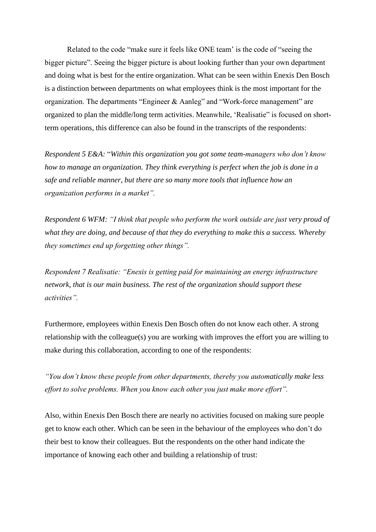Related to the code "make sure it feels like ONE team' is the code of "seeing the bigger picture". Seeing the bigger picture is about looking further than your own department and doing what is best for the entire organization. What can be seen within Enexis Den Bosch is a distinction between departments on what employees think is the most important for the organization. The departments "Engineer & Aanleg" and "Work-force management" are organized to plan the middle/long term activities. Meanwhile, 'Realisatie" is focused on shortterm operations, this difference can also be found in the transcripts of the respondents:

*Respondent 5 E&A:* "*Within this organization you got some team-managers who don't know how to manage an organization. They think everything is perfect when the job is done in a safe and reliable manner, but there are so many more tools that influence how an organization performs in a market".* 

*Respondent 6 WFM: "I think that people who perform the work outside are just very proud of what they are doing, and because of that they do everything to make this a success. Whereby they sometimes end up forgetting other things".*

*Respondent 7 Realisatie: "Enexis is getting paid for maintaining an energy infrastructure network, that is our main business. The rest of the organization should support these activities".* 

Furthermore, employees within Enexis Den Bosch often do not know each other. A strong relationship with the colleague(s) you are working with improves the effort you are willing to make during this collaboration, according to one of the respondents:

*"You don't know these people from other departments, thereby you automatically make less effort to solve problems. When you know each other you just make more effort".* 

Also, within Enexis Den Bosch there are nearly no activities focused on making sure people get to know each other. Which can be seen in the behaviour of the employees who don't do their best to know their colleagues. But the respondents on the other hand indicate the importance of knowing each other and building a relationship of trust: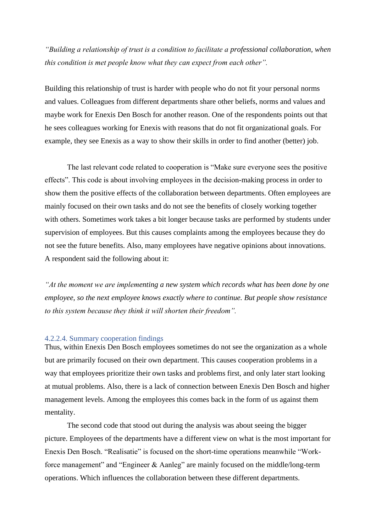*"Building a relationship of trust is a condition to facilitate a professional collaboration, when this condition is met people know what they can expect from each other".*

Building this relationship of trust is harder with people who do not fit your personal norms and values. Colleagues from different departments share other beliefs, norms and values and maybe work for Enexis Den Bosch for another reason. One of the respondents points out that he sees colleagues working for Enexis with reasons that do not fit organizational goals. For example, they see Enexis as a way to show their skills in order to find another (better) job.

The last relevant code related to cooperation is "Make sure everyone sees the positive effects". This code is about involving employees in the decision-making process in order to show them the positive effects of the collaboration between departments. Often employees are mainly focused on their own tasks and do not see the benefits of closely working together with others. Sometimes work takes a bit longer because tasks are performed by students under supervision of employees. But this causes complaints among the employees because they do not see the future benefits. Also, many employees have negative opinions about innovations. A respondent said the following about it:

*"At the moment we are implementing a new system which records what has been done by one employee, so the next employee knows exactly where to continue. But people show resistance to this system because they think it will shorten their freedom".* 

#### 4.2.2.4. Summary cooperation findings

Thus, within Enexis Den Bosch employees sometimes do not see the organization as a whole but are primarily focused on their own department. This causes cooperation problems in a way that employees prioritize their own tasks and problems first, and only later start looking at mutual problems. Also, there is a lack of connection between Enexis Den Bosch and higher management levels. Among the employees this comes back in the form of us against them mentality.

The second code that stood out during the analysis was about seeing the bigger picture. Employees of the departments have a different view on what is the most important for Enexis Den Bosch. "Realisatie" is focused on the short-time operations meanwhile "Workforce management" and "Engineer & Aanleg" are mainly focused on the middle/long-term operations. Which influences the collaboration between these different departments.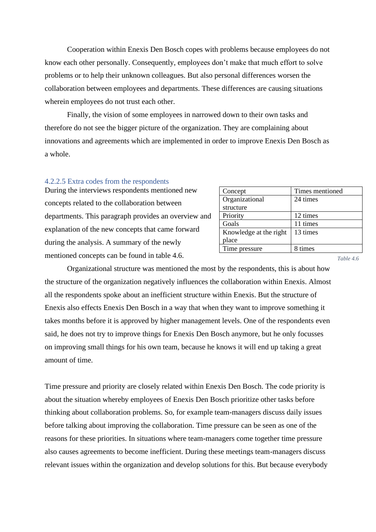Cooperation within Enexis Den Bosch copes with problems because employees do not know each other personally. Consequently, employees don't make that much effort to solve problems or to help their unknown colleagues. But also personal differences worsen the collaboration between employees and departments. These differences are causing situations wherein employees do not trust each other.

Finally, the vision of some employees in narrowed down to their own tasks and therefore do not see the bigger picture of the organization. They are complaining about innovations and agreements which are implemented in order to improve Enexis Den Bosch as a whole.

#### 4.2.2.5 Extra codes from the respondents

During the interviews respondents mentioned new concepts related to the collaboration between departments. This paragraph provides an overview and explanation of the new concepts that came forward during the analysis. A summary of the newly mentioned concepts can be found in table 4.6.

| Concept                | Times mentioned |
|------------------------|-----------------|
| Organizational         | 24 times        |
| structure              |                 |
| Priority               | 12 times        |
| Goals                  | 11 times        |
| Knowledge at the right | 13 times        |
| place                  |                 |
| Time pressure          | 8 times         |

*Table 4.6*

Organizational structure was mentioned the most by the respondents, this is about how the structure of the organization negatively influences the collaboration within Enexis. Almost all the respondents spoke about an inefficient structure within Enexis. But the structure of Enexis also effects Enexis Den Bosch in a way that when they want to improve something it takes months before it is approved by higher management levels. One of the respondents even said, he does not try to improve things for Enexis Den Bosch anymore, but he only focusses on improving small things for his own team, because he knows it will end up taking a great amount of time.

Time pressure and priority are closely related within Enexis Den Bosch. The code priority is about the situation whereby employees of Enexis Den Bosch prioritize other tasks before thinking about collaboration problems. So, for example team-managers discuss daily issues before talking about improving the collaboration. Time pressure can be seen as one of the reasons for these priorities. In situations where team-managers come together time pressure also causes agreements to become inefficient. During these meetings team-managers discuss relevant issues within the organization and develop solutions for this. But because everybody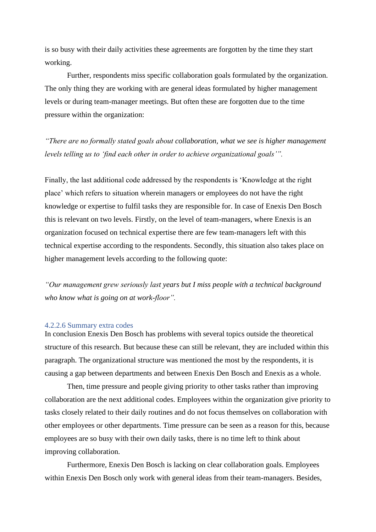is so busy with their daily activities these agreements are forgotten by the time they start working.

Further, respondents miss specific collaboration goals formulated by the organization. The only thing they are working with are general ideas formulated by higher management levels or during team-manager meetings. But often these are forgotten due to the time pressure within the organization:

*"There are no formally stated goals about collaboration, what we see is higher management levels telling us to 'find each other in order to achieve organizational goals'".*

Finally, the last additional code addressed by the respondents is 'Knowledge at the right place' which refers to situation wherein managers or employees do not have the right knowledge or expertise to fulfil tasks they are responsible for. In case of Enexis Den Bosch this is relevant on two levels. Firstly, on the level of team-managers, where Enexis is an organization focused on technical expertise there are few team-managers left with this technical expertise according to the respondents. Secondly, this situation also takes place on higher management levels according to the following quote:

*"Our management grew seriously last years but I miss people with a technical background who know what is going on at work-floor".* 

#### 4.2.2.6 Summary extra codes

In conclusion Enexis Den Bosch has problems with several topics outside the theoretical structure of this research. But because these can still be relevant, they are included within this paragraph. The organizational structure was mentioned the most by the respondents, it is causing a gap between departments and between Enexis Den Bosch and Enexis as a whole.

Then, time pressure and people giving priority to other tasks rather than improving collaboration are the next additional codes. Employees within the organization give priority to tasks closely related to their daily routines and do not focus themselves on collaboration with other employees or other departments. Time pressure can be seen as a reason for this, because employees are so busy with their own daily tasks, there is no time left to think about improving collaboration.

Furthermore, Enexis Den Bosch is lacking on clear collaboration goals. Employees within Enexis Den Bosch only work with general ideas from their team-managers. Besides,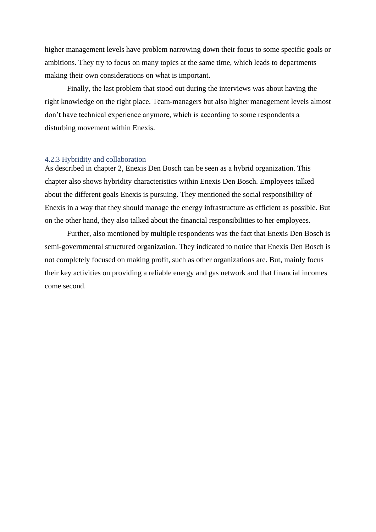higher management levels have problem narrowing down their focus to some specific goals or ambitions. They try to focus on many topics at the same time, which leads to departments making their own considerations on what is important.

Finally, the last problem that stood out during the interviews was about having the right knowledge on the right place. Team-managers but also higher management levels almost don't have technical experience anymore, which is according to some respondents a disturbing movement within Enexis.

### <span id="page-34-0"></span>4.2.3 Hybridity and collaboration

As described in chapter 2, Enexis Den Bosch can be seen as a hybrid organization. This chapter also shows hybridity characteristics within Enexis Den Bosch. Employees talked about the different goals Enexis is pursuing. They mentioned the social responsibility of Enexis in a way that they should manage the energy infrastructure as efficient as possible. But on the other hand, they also talked about the financial responsibilities to her employees.

Further, also mentioned by multiple respondents was the fact that Enexis Den Bosch is semi-governmental structured organization. They indicated to notice that Enexis Den Bosch is not completely focused on making profit, such as other organizations are. But, mainly focus their key activities on providing a reliable energy and gas network and that financial incomes come second.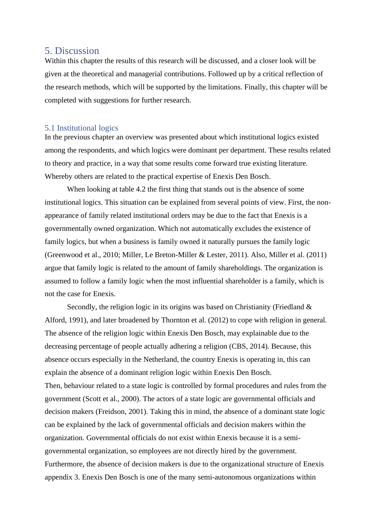## <span id="page-35-0"></span>5. Discussion

Within this chapter the results of this research will be discussed, and a closer look will be given at the theoretical and managerial contributions. Followed up by a critical reflection of the research methods, which will be supported by the limitations. Finally, this chapter will be completed with suggestions for further research.

### <span id="page-35-1"></span>5.1 Institutional logics

In the previous chapter an overview was presented about which institutional logics existed among the respondents, and which logics were dominant per department. These results related to theory and practice, in a way that some results come forward true existing literature. Whereby others are related to the practical expertise of Enexis Den Bosch.

When looking at table 4.2 the first thing that stands out is the absence of some institutional logics. This situation can be explained from several points of view. First, the nonappearance of family related institutional orders may be due to the fact that Enexis is a governmentally owned organization. Which not automatically excludes the existence of family logics, but when a business is family owned it naturally pursues the family logic (Greenwood et al., 2010; Miller, Le Breton-Miller & Lester, 2011). Also, Miller et al. (2011) argue that family logic is related to the amount of family shareholdings. The organization is assumed to follow a family logic when the most influential shareholder is a family, which is not the case for Enexis.

Secondly, the religion logic in its origins was based on Christianity (Friedland & Alford, 1991), and later broadened by Thornton et al. (2012) to cope with religion in general. The absence of the religion logic within Enexis Den Bosch, may explainable due to the decreasing percentage of people actually adhering a religion (CBS, 2014). Because, this absence occurs especially in the Netherland, the country Enexis is operating in, this can explain the absence of a dominant religion logic within Enexis Den Bosch. Then, behaviour related to a state logic is controlled by formal procedures and rules from the government (Scott et al., 2000). The actors of a state logic are governmental officials and decision makers (Freidson, 2001). Taking this in mind, the absence of a dominant state logic can be explained by the lack of governmental officials and decision makers within the organization. Governmental officials do not exist within Enexis because it is a semigovernmental organization, so employees are not directly hired by the government. Furthermore, the absence of decision makers is due to the organizational structure of Enexis appendix 3. Enexis Den Bosch is one of the many semi-autonomous organizations within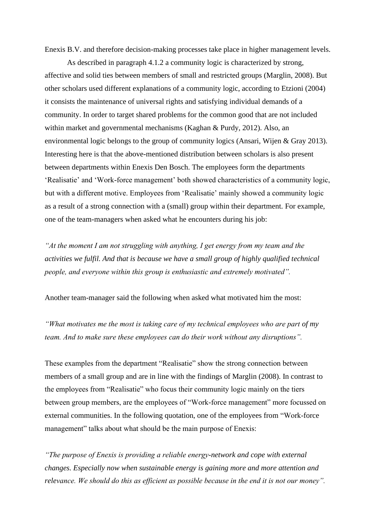Enexis B.V. and therefore decision-making processes take place in higher management levels.

As described in paragraph 4.1.2 a community logic is characterized by strong, affective and solid ties between members of small and restricted groups (Marglin, 2008). But other scholars used different explanations of a community logic, according to Etzioni (2004) it consists the maintenance of universal rights and satisfying individual demands of a community. In order to target shared problems for the common good that are not included within market and governmental mechanisms (Kaghan & Purdy, 2012). Also, an environmental logic belongs to the group of community logics (Ansari, Wijen & Gray 2013). Interesting here is that the above-mentioned distribution between scholars is also present between departments within Enexis Den Bosch. The employees form the departments 'Realisatie' and 'Work-force management' both showed characteristics of a community logic, but with a different motive. Employees from 'Realisatie' mainly showed a community logic as a result of a strong connection with a (small) group within their department. For example, one of the team-managers when asked what he encounters during his job:

*"At the moment I am not struggling with anything, I get energy from my team and the activities we fulfil. And that is because we have a small group of highly qualified technical people, and everyone within this group is enthusiastic and extremely motivated".* 

Another team-manager said the following when asked what motivated him the most:

*"What motivates me the most is taking care of my technical employees who are part of my team. And to make sure these employees can do their work without any disruptions".* 

These examples from the department "Realisatie" show the strong connection between members of a small group and are in line with the findings of Marglin (2008). In contrast to the employees from "Realisatie" who focus their community logic mainly on the tiers between group members, are the employees of "Work-force management" more focussed on external communities. In the following quotation, one of the employees from "Work-force management" talks about what should be the main purpose of Enexis:

*"The purpose of Enexis is providing a reliable energy-network and cope with external changes. Especially now when sustainable energy is gaining more and more attention and relevance. We should do this as efficient as possible because in the end it is not our money".*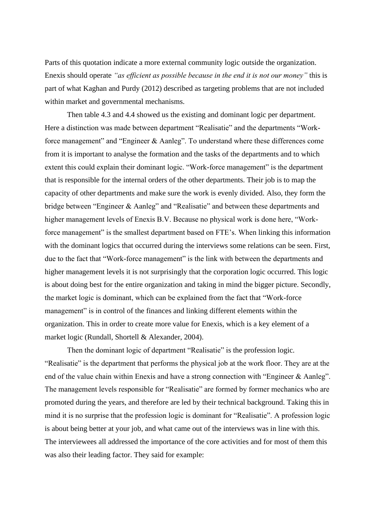Parts of this quotation indicate a more external community logic outside the organization. Enexis should operate *"as efficient as possible because in the end it is not our money"* this is part of what Kaghan and Purdy (2012) described as targeting problems that are not included within market and governmental mechanisms.

Then table 4.3 and 4.4 showed us the existing and dominant logic per department. Here a distinction was made between department "Realisatie" and the departments "Workforce management" and "Engineer & Aanleg". To understand where these differences come from it is important to analyse the formation and the tasks of the departments and to which extent this could explain their dominant logic. "Work-force management" is the department that is responsible for the internal orders of the other departments. Their job is to map the capacity of other departments and make sure the work is evenly divided. Also, they form the bridge between "Engineer & Aanleg" and "Realisatie" and between these departments and higher management levels of Enexis B.V. Because no physical work is done here, "Workforce management" is the smallest department based on FTE's. When linking this information with the dominant logics that occurred during the interviews some relations can be seen. First, due to the fact that "Work-force management" is the link with between the departments and higher management levels it is not surprisingly that the corporation logic occurred. This logic is about doing best for the entire organization and taking in mind the bigger picture. Secondly, the market logic is dominant, which can be explained from the fact that "Work-force management" is in control of the finances and linking different elements within the organization. This in order to create more value for Enexis, which is a key element of a market logic (Rundall, Shortell & Alexander, 2004).

Then the dominant logic of department "Realisatie" is the profession logic. "Realisatie" is the department that performs the physical job at the work floor. They are at the end of the value chain within Enexis and have a strong connection with "Engineer & Aanleg". The management levels responsible for "Realisatie" are formed by former mechanics who are promoted during the years, and therefore are led by their technical background. Taking this in mind it is no surprise that the profession logic is dominant for "Realisatie". A profession logic is about being better at your job, and what came out of the interviews was in line with this. The interviewees all addressed the importance of the core activities and for most of them this was also their leading factor. They said for example: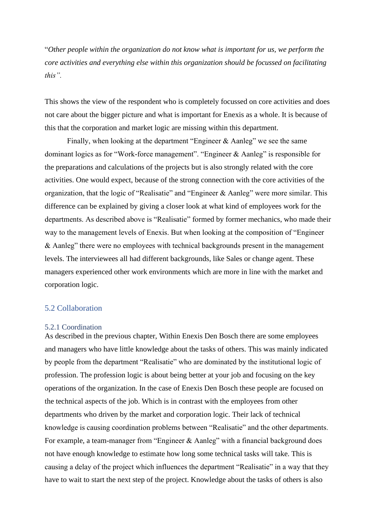"*Other people within the organization do not know what is important for us, we perform the core activities and everything else within this organization should be focussed on facilitating this".* 

This shows the view of the respondent who is completely focussed on core activities and does not care about the bigger picture and what is important for Enexis as a whole. It is because of this that the corporation and market logic are missing within this department.

Finally, when looking at the department "Engineer & Aanleg" we see the same dominant logics as for "Work-force management". "Engineer & Aanleg" is responsible for the preparations and calculations of the projects but is also strongly related with the core activities. One would expect, because of the strong connection with the core activities of the organization, that the logic of "Realisatie" and "Engineer & Aanleg" were more similar. This difference can be explained by giving a closer look at what kind of employees work for the departments. As described above is "Realisatie" formed by former mechanics, who made their way to the management levels of Enexis. But when looking at the composition of "Engineer & Aanleg" there were no employees with technical backgrounds present in the management levels. The interviewees all had different backgrounds, like Sales or change agent. These managers experienced other work environments which are more in line with the market and corporation logic.

### <span id="page-38-0"></span>5.2 Collaboration

#### <span id="page-38-1"></span>5.2.1 Coordination

As described in the previous chapter, Within Enexis Den Bosch there are some employees and managers who have little knowledge about the tasks of others. This was mainly indicated by people from the department "Realisatie" who are dominated by the institutional logic of profession. The profession logic is about being better at your job and focusing on the key operations of the organization. In the case of Enexis Den Bosch these people are focused on the technical aspects of the job. Which is in contrast with the employees from other departments who driven by the market and corporation logic. Their lack of technical knowledge is causing coordination problems between "Realisatie" and the other departments. For example, a team-manager from "Engineer & Aanleg" with a financial background does not have enough knowledge to estimate how long some technical tasks will take. This is causing a delay of the project which influences the department "Realisatie" in a way that they have to wait to start the next step of the project. Knowledge about the tasks of others is also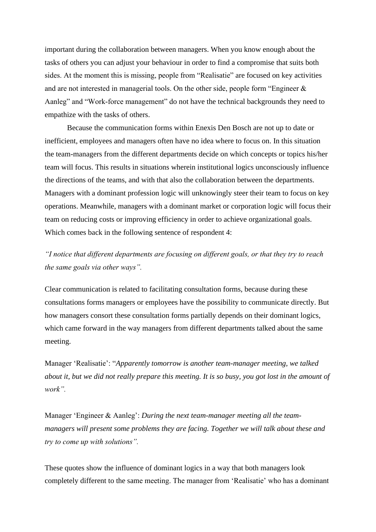important during the collaboration between managers. When you know enough about the tasks of others you can adjust your behaviour in order to find a compromise that suits both sides. At the moment this is missing, people from "Realisatie" are focused on key activities and are not interested in managerial tools. On the other side, people form "Engineer & Aanleg" and "Work-force management" do not have the technical backgrounds they need to empathize with the tasks of others.

Because the communication forms within Enexis Den Bosch are not up to date or inefficient, employees and managers often have no idea where to focus on. In this situation the team-managers from the different departments decide on which concepts or topics his/her team will focus. This results in situations wherein institutional logics unconsciously influence the directions of the teams, and with that also the collaboration between the departments. Managers with a dominant profession logic will unknowingly steer their team to focus on key operations. Meanwhile, managers with a dominant market or corporation logic will focus their team on reducing costs or improving efficiency in order to achieve organizational goals. Which comes back in the following sentence of respondent 4:

*"I notice that different departments are focusing on different goals, or that they try to reach the same goals via other ways".* 

Clear communication is related to facilitating consultation forms, because during these consultations forms managers or employees have the possibility to communicate directly. But how managers consort these consultation forms partially depends on their dominant logics, which came forward in the way managers from different departments talked about the same meeting.

Manager 'Realisatie': "*Apparently tomorrow is another team-manager meeting, we talked about it, but we did not really prepare this meeting. It is so busy, you got lost in the amount of work".* 

Manager 'Engineer & Aanleg': *During the next team-manager meeting all the teammanagers will present some problems they are facing. Together we will talk about these and try to come up with solutions".* 

These quotes show the influence of dominant logics in a way that both managers look completely different to the same meeting. The manager from 'Realisatie' who has a dominant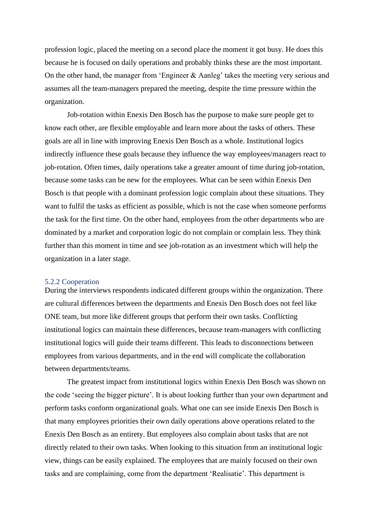profession logic, placed the meeting on a second place the moment it got busy. He does this because he is focused on daily operations and probably thinks these are the most important. On the other hand, the manager from 'Engineer & Aanleg' takes the meeting very serious and assumes all the team-managers prepared the meeting, despite the time pressure within the organization.

Job-rotation within Enexis Den Bosch has the purpose to make sure people get to know each other, are flexible employable and learn more about the tasks of others. These goals are all in line with improving Enexis Den Bosch as a whole. Institutional logics indirectly influence these goals because they influence the way employees/managers react to job-rotation. Often times, daily operations take a greater amount of time during job-rotation, because some tasks can be new for the employees. What can be seen within Enexis Den Bosch is that people with a dominant profession logic complain about these situations. They want to fulfil the tasks as efficient as possible, which is not the case when someone performs the task for the first time. On the other hand, employees from the other departments who are dominated by a market and corporation logic do not complain or complain less. They think further than this moment in time and see job-rotation as an investment which will help the organization in a later stage.

#### <span id="page-40-0"></span>5.2.2 Cooperation

During the interviews respondents indicated different groups within the organization. There are cultural differences between the departments and Enexis Den Bosch does not feel like ONE team, but more like different groups that perform their own tasks. Conflicting institutional logics can maintain these differences, because team-managers with conflicting institutional logics will guide their teams different. This leads to disconnections between employees from various departments, and in the end will complicate the collaboration between departments/teams.

The greatest impact from institutional logics within Enexis Den Bosch was shown on the code 'seeing the bigger picture'. It is about looking further than your own department and perform tasks conform organizational goals. What one can see inside Enexis Den Bosch is that many employees priorities their own daily operations above operations related to the Enexis Den Bosch as an entirety. But employees also complain about tasks that are not directly related to their own tasks. When looking to this situation from an institutional logic view, things can be easily explained. The employees that are mainly focused on their own tasks and are complaining, come from the department 'Realisatie'. This department is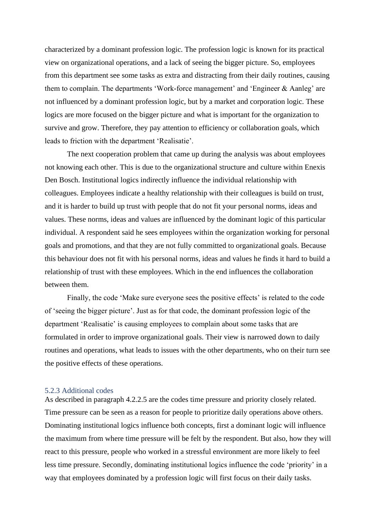characterized by a dominant profession logic. The profession logic is known for its practical view on organizational operations, and a lack of seeing the bigger picture. So, employees from this department see some tasks as extra and distracting from their daily routines, causing them to complain. The departments 'Work-force management' and 'Engineer & Aanleg' are not influenced by a dominant profession logic, but by a market and corporation logic. These logics are more focused on the bigger picture and what is important for the organization to survive and grow. Therefore, they pay attention to efficiency or collaboration goals, which leads to friction with the department 'Realisatie'.

The next cooperation problem that came up during the analysis was about employees not knowing each other. This is due to the organizational structure and culture within Enexis Den Bosch. Institutional logics indirectly influence the individual relationship with colleagues. Employees indicate a healthy relationship with their colleagues is build on trust, and it is harder to build up trust with people that do not fit your personal norms, ideas and values. These norms, ideas and values are influenced by the dominant logic of this particular individual. A respondent said he sees employees within the organization working for personal goals and promotions, and that they are not fully committed to organizational goals. Because this behaviour does not fit with his personal norms, ideas and values he finds it hard to build a relationship of trust with these employees. Which in the end influences the collaboration between them.

Finally, the code 'Make sure everyone sees the positive effects' is related to the code of 'seeing the bigger picture'. Just as for that code, the dominant profession logic of the department 'Realisatie' is causing employees to complain about some tasks that are formulated in order to improve organizational goals. Their view is narrowed down to daily routines and operations, what leads to issues with the other departments, who on their turn see the positive effects of these operations.

#### <span id="page-41-0"></span>5.2.3 Additional codes

As described in paragraph 4.2.2.5 are the codes time pressure and priority closely related. Time pressure can be seen as a reason for people to prioritize daily operations above others. Dominating institutional logics influence both concepts, first a dominant logic will influence the maximum from where time pressure will be felt by the respondent. But also, how they will react to this pressure, people who worked in a stressful environment are more likely to feel less time pressure. Secondly, dominating institutional logics influence the code 'priority' in a way that employees dominated by a profession logic will first focus on their daily tasks.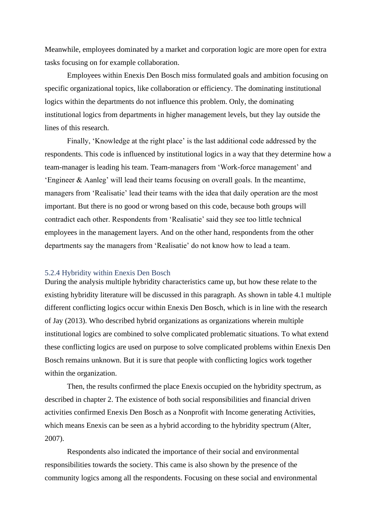Meanwhile, employees dominated by a market and corporation logic are more open for extra tasks focusing on for example collaboration.

Employees within Enexis Den Bosch miss formulated goals and ambition focusing on specific organizational topics, like collaboration or efficiency. The dominating institutional logics within the departments do not influence this problem. Only, the dominating institutional logics from departments in higher management levels, but they lay outside the lines of this research.

Finally, 'Knowledge at the right place' is the last additional code addressed by the respondents. This code is influenced by institutional logics in a way that they determine how a team-manager is leading his team. Team-managers from 'Work-force management' and 'Engineer & Aanleg' will lead their teams focusing on overall goals. In the meantime, managers from 'Realisatie' lead their teams with the idea that daily operation are the most important. But there is no good or wrong based on this code, because both groups will contradict each other. Respondents from 'Realisatie' said they see too little technical employees in the management layers. And on the other hand, respondents from the other departments say the managers from 'Realisatie' do not know how to lead a team.

### <span id="page-42-0"></span>5.2.4 Hybridity within Enexis Den Bosch

During the analysis multiple hybridity characteristics came up, but how these relate to the existing hybridity literature will be discussed in this paragraph. As shown in table 4.1 multiple different conflicting logics occur within Enexis Den Bosch, which is in line with the research of Jay (2013). Who described hybrid organizations as organizations wherein multiple institutional logics are combined to solve complicated problematic situations. To what extend these conflicting logics are used on purpose to solve complicated problems within Enexis Den Bosch remains unknown. But it is sure that people with conflicting logics work together within the organization.

Then, the results confirmed the place Enexis occupied on the hybridity spectrum, as described in chapter 2. The existence of both social responsibilities and financial driven activities confirmed Enexis Den Bosch as a Nonprofit with Income generating Activities, which means Enexis can be seen as a hybrid according to the hybridity spectrum (Alter, 2007).

Respondents also indicated the importance of their social and environmental responsibilities towards the society. This came is also shown by the presence of the community logics among all the respondents. Focusing on these social and environmental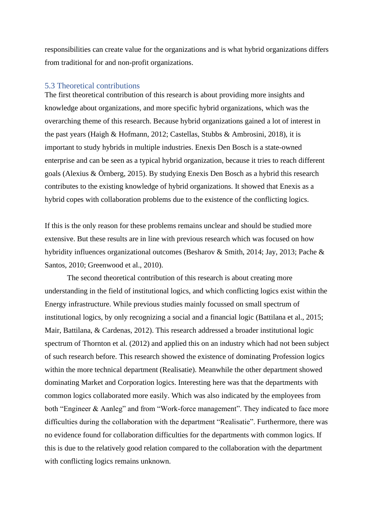responsibilities can create value for the organizations and is what hybrid organizations differs from traditional for and non-profit organizations.

### <span id="page-43-0"></span>5.3 Theoretical contributions

The first theoretical contribution of this research is about providing more insights and knowledge about organizations, and more specific hybrid organizations, which was the overarching theme of this research. Because hybrid organizations gained a lot of interest in the past years (Haigh & Hofmann, 2012; Castellas, Stubbs & Ambrosini, 2018), it is important to study hybrids in multiple industries. Enexis Den Bosch is a state-owned enterprise and can be seen as a typical hybrid organization, because it tries to reach different goals (Alexius & Örnberg, 2015). By studying Enexis Den Bosch as a hybrid this research contributes to the existing knowledge of hybrid organizations. It showed that Enexis as a hybrid copes with collaboration problems due to the existence of the conflicting logics.

If this is the only reason for these problems remains unclear and should be studied more extensive. But these results are in line with previous research which was focused on how hybridity influences organizational outcomes (Besharov & Smith, 2014; Jay, 2013; Pache & Santos, 2010; Greenwood et al., 2010).

The second theoretical contribution of this research is about creating more understanding in the field of institutional logics, and which conflicting logics exist within the Energy infrastructure. While previous studies mainly focussed on small spectrum of institutional logics, by only recognizing a social and a financial logic (Battilana et al., 2015; Mair, Battilana, & Cardenas, 2012). This research addressed a broader institutional logic spectrum of Thornton et al. (2012) and applied this on an industry which had not been subject of such research before. This research showed the existence of dominating Profession logics within the more technical department (Realisatie). Meanwhile the other department showed dominating Market and Corporation logics. Interesting here was that the departments with common logics collaborated more easily. Which was also indicated by the employees from both "Engineer & Aanleg" and from "Work-force management". They indicated to face more difficulties during the collaboration with the department "Realisatie". Furthermore, there was no evidence found for collaboration difficulties for the departments with common logics. If this is due to the relatively good relation compared to the collaboration with the department with conflicting logics remains unknown.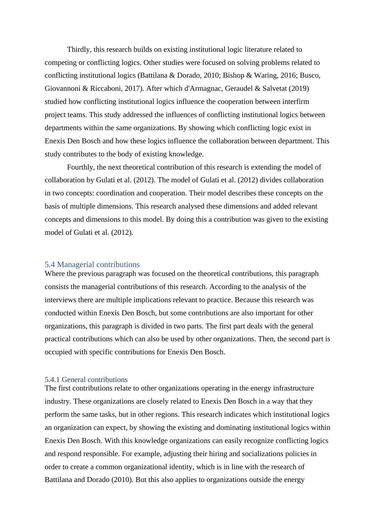Thirdly, this research builds on existing institutional logic literature related to competing or conflicting logics. Other studies were focused on solving problems related to conflicting institutional logics (Battilana & Dorado, 2010; Bishop & Waring, 2016; Busco, Giovannoni & Riccaboni, 2017). After which d'Armagnac, Geraudel & Salvetat (2019) studied how conflicting institutional logics influence the cooperation between interfirm project teams. This study addressed the influences of conflicting institutional logics between departments within the same organizations. By showing which conflicting logic exist in Enexis Den Bosch and how these logics influence the collaboration between department. This study contributes to the body of existing knowledge.

Fourthly, the next theoretical contribution of this research is extending the model of collaboration by Gulati et al. (2012). The model of Gulati et al. (2012) divides collaboration in two concepts: coordination and cooperation. Their model describes these concepts on the basis of multiple dimensions. This research analysed these dimensions and added relevant concepts and dimensions to this model. By doing this a contribution was given to the existing model of Gulati et al. (2012).

### <span id="page-44-0"></span>5.4 Managerial contributions

Where the previous paragraph was focused on the theoretical contributions, this paragraph consists the managerial contributions of this research. According to the analysis of the interviews there are multiple implications relevant to practice. Because this research was conducted within Enexis Den Bosch, but some contributions are also important for other organizations, this paragraph is divided in two parts. The first part deals with the general practical contributions which can also be used by other organizations. Then, the second part is occupied with specific contributions for Enexis Den Bosch.

#### <span id="page-44-1"></span>5.4.1 General contributions

The first contributions relate to other organizations operating in the energy infrastructure industry. These organizations are closely related to Enexis Den Bosch in a way that they perform the same tasks, but in other regions. This research indicates which institutional logics an organization can expect, by showing the existing and dominating institutional logics within Enexis Den Bosch. With this knowledge organizations can easily recognize conflicting logics and respond responsible. For example, adjusting their hiring and socializations policies in order to create a common organizational identity, which is in line with the research of Battilana and Dorado (2010). But this also applies to organizations outside the energy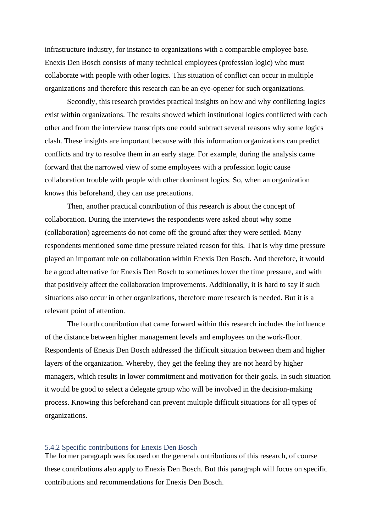infrastructure industry, for instance to organizations with a comparable employee base. Enexis Den Bosch consists of many technical employees (profession logic) who must collaborate with people with other logics. This situation of conflict can occur in multiple organizations and therefore this research can be an eye-opener for such organizations.

Secondly, this research provides practical insights on how and why conflicting logics exist within organizations. The results showed which institutional logics conflicted with each other and from the interview transcripts one could subtract several reasons why some logics clash. These insights are important because with this information organizations can predict conflicts and try to resolve them in an early stage. For example, during the analysis came forward that the narrowed view of some employees with a profession logic cause collaboration trouble with people with other dominant logics. So, when an organization knows this beforehand, they can use precautions.

Then, another practical contribution of this research is about the concept of collaboration. During the interviews the respondents were asked about why some (collaboration) agreements do not come off the ground after they were settled. Many respondents mentioned some time pressure related reason for this. That is why time pressure played an important role on collaboration within Enexis Den Bosch. And therefore, it would be a good alternative for Enexis Den Bosch to sometimes lower the time pressure, and with that positively affect the collaboration improvements. Additionally, it is hard to say if such situations also occur in other organizations, therefore more research is needed. But it is a relevant point of attention.

The fourth contribution that came forward within this research includes the influence of the distance between higher management levels and employees on the work-floor. Respondents of Enexis Den Bosch addressed the difficult situation between them and higher layers of the organization. Whereby, they get the feeling they are not heard by higher managers, which results in lower commitment and motivation for their goals. In such situation it would be good to select a delegate group who will be involved in the decision-making process. Knowing this beforehand can prevent multiple difficult situations for all types of organizations.

### <span id="page-45-0"></span>5.4.2 Specific contributions for Enexis Den Bosch

The former paragraph was focused on the general contributions of this research, of course these contributions also apply to Enexis Den Bosch. But this paragraph will focus on specific contributions and recommendations for Enexis Den Bosch.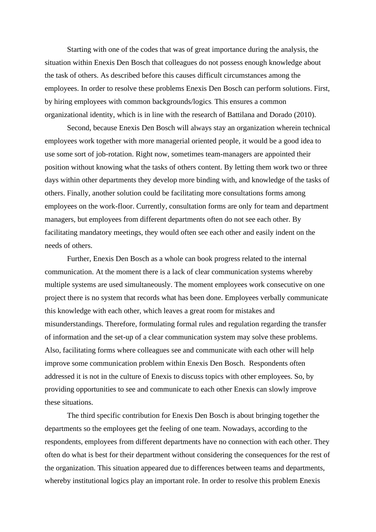Starting with one of the codes that was of great importance during the analysis, the situation within Enexis Den Bosch that colleagues do not possess enough knowledge about the task of others. As described before this causes difficult circumstances among the employees. In order to resolve these problems Enexis Den Bosch can perform solutions. First, by hiring employees with common backgrounds/logics. This ensures a common organizational identity, which is in line with the research of Battilana and Dorado (2010).

Second, because Enexis Den Bosch will always stay an organization wherein technical employees work together with more managerial oriented people, it would be a good idea to use some sort of job-rotation. Right now, sometimes team-managers are appointed their position without knowing what the tasks of others content. By letting them work two or three days within other departments they develop more binding with, and knowledge of the tasks of others. Finally, another solution could be facilitating more consultations forms among employees on the work-floor. Currently, consultation forms are only for team and department managers, but employees from different departments often do not see each other. By facilitating mandatory meetings, they would often see each other and easily indent on the needs of others.

Further, Enexis Den Bosch as a whole can book progress related to the internal communication. At the moment there is a lack of clear communication systems whereby multiple systems are used simultaneously. The moment employees work consecutive on one project there is no system that records what has been done. Employees verbally communicate this knowledge with each other, which leaves a great room for mistakes and misunderstandings. Therefore, formulating formal rules and regulation regarding the transfer of information and the set-up of a clear communication system may solve these problems. Also, facilitating forms where colleagues see and communicate with each other will help improve some communication problem within Enexis Den Bosch. Respondents often addressed it is not in the culture of Enexis to discuss topics with other employees. So, by providing opportunities to see and communicate to each other Enexis can slowly improve these situations.

The third specific contribution for Enexis Den Bosch is about bringing together the departments so the employees get the feeling of one team. Nowadays, according to the respondents, employees from different departments have no connection with each other. They often do what is best for their department without considering the consequences for the rest of the organization. This situation appeared due to differences between teams and departments, whereby institutional logics play an important role. In order to resolve this problem Enexis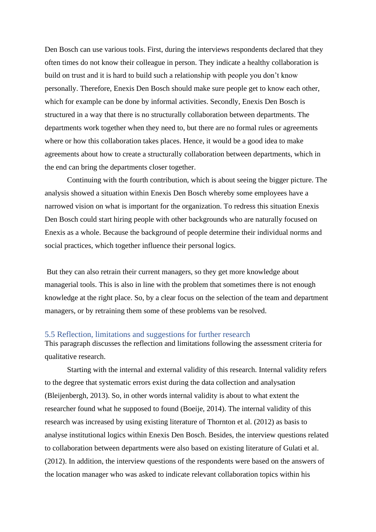Den Bosch can use various tools. First, during the interviews respondents declared that they often times do not know their colleague in person. They indicate a healthy collaboration is build on trust and it is hard to build such a relationship with people you don't know personally. Therefore, Enexis Den Bosch should make sure people get to know each other, which for example can be done by informal activities. Secondly, Enexis Den Bosch is structured in a way that there is no structurally collaboration between departments. The departments work together when they need to, but there are no formal rules or agreements where or how this collaboration takes places. Hence, it would be a good idea to make agreements about how to create a structurally collaboration between departments, which in the end can bring the departments closer together.

Continuing with the fourth contribution, which is about seeing the bigger picture. The analysis showed a situation within Enexis Den Bosch whereby some employees have a narrowed vision on what is important for the organization. To redress this situation Enexis Den Bosch could start hiring people with other backgrounds who are naturally focused on Enexis as a whole. Because the background of people determine their individual norms and social practices, which together influence their personal logics.

But they can also retrain their current managers, so they get more knowledge about managerial tools. This is also in line with the problem that sometimes there is not enough knowledge at the right place. So, by a clear focus on the selection of the team and department managers, or by retraining them some of these problems van be resolved.

### <span id="page-47-0"></span>5.5 Reflection, limitations and suggestions for further research

This paragraph discusses the reflection and limitations following the assessment criteria for qualitative research.

Starting with the internal and external validity of this research. Internal validity refers to the degree that systematic errors exist during the data collection and analysation (Bleijenbergh, 2013). So, in other words internal validity is about to what extent the researcher found what he supposed to found (Boeije, 2014). The internal validity of this research was increased by using existing literature of Thornton et al. (2012) as basis to analyse institutional logics within Enexis Den Bosch. Besides, the interview questions related to collaboration between departments were also based on existing literature of Gulati et al. (2012). In addition, the interview questions of the respondents were based on the answers of the location manager who was asked to indicate relevant collaboration topics within his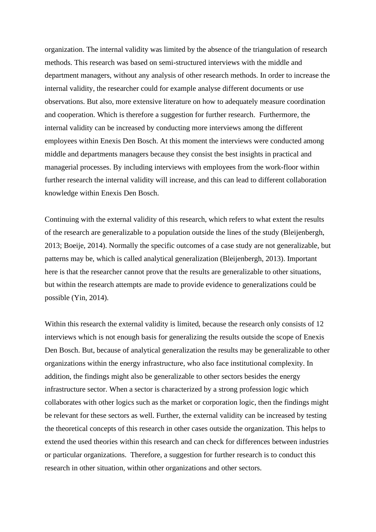organization. The internal validity was limited by the absence of the triangulation of research methods. This research was based on semi-structured interviews with the middle and department managers, without any analysis of other research methods. In order to increase the internal validity, the researcher could for example analyse different documents or use observations. But also, more extensive literature on how to adequately measure coordination and cooperation. Which is therefore a suggestion for further research. Furthermore, the internal validity can be increased by conducting more interviews among the different employees within Enexis Den Bosch. At this moment the interviews were conducted among middle and departments managers because they consist the best insights in practical and managerial processes. By including interviews with employees from the work-floor within further research the internal validity will increase, and this can lead to different collaboration knowledge within Enexis Den Bosch.

Continuing with the external validity of this research, which refers to what extent the results of the research are generalizable to a population outside the lines of the study (Bleijenbergh, 2013; Boeije, 2014). Normally the specific outcomes of a case study are not generalizable, but patterns may be, which is called analytical generalization (Bleijenbergh, 2013). Important here is that the researcher cannot prove that the results are generalizable to other situations, but within the research attempts are made to provide evidence to generalizations could be possible (Yin, 2014).

Within this research the external validity is limited, because the research only consists of 12 interviews which is not enough basis for generalizing the results outside the scope of Enexis Den Bosch. But, because of analytical generalization the results may be generalizable to other organizations within the energy infrastructure, who also face institutional complexity. In addition, the findings might also be generalizable to other sectors besides the energy infrastructure sector. When a sector is characterized by a strong profession logic which collaborates with other logics such as the market or corporation logic, then the findings might be relevant for these sectors as well. Further, the external validity can be increased by testing the theoretical concepts of this research in other cases outside the organization. This helps to extend the used theories within this research and can check for differences between industries or particular organizations. Therefore, a suggestion for further research is to conduct this research in other situation, within other organizations and other sectors.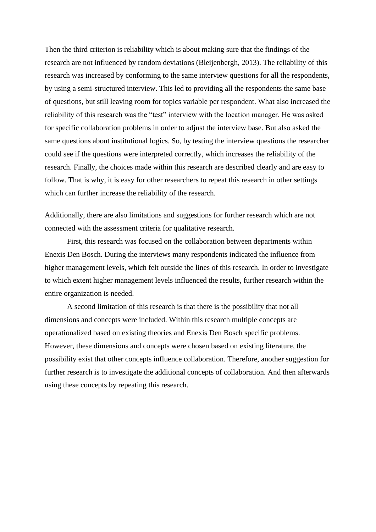Then the third criterion is reliability which is about making sure that the findings of the research are not influenced by random deviations (Bleijenbergh, 2013). The reliability of this research was increased by conforming to the same interview questions for all the respondents, by using a semi-structured interview. This led to providing all the respondents the same base of questions, but still leaving room for topics variable per respondent. What also increased the reliability of this research was the "test" interview with the location manager. He was asked for specific collaboration problems in order to adjust the interview base. But also asked the same questions about institutional logics. So, by testing the interview questions the researcher could see if the questions were interpreted correctly, which increases the reliability of the research. Finally, the choices made within this research are described clearly and are easy to follow. That is why, it is easy for other researchers to repeat this research in other settings which can further increase the reliability of the research.

Additionally, there are also limitations and suggestions for further research which are not connected with the assessment criteria for qualitative research.

First, this research was focused on the collaboration between departments within Enexis Den Bosch. During the interviews many respondents indicated the influence from higher management levels, which felt outside the lines of this research. In order to investigate to which extent higher management levels influenced the results, further research within the entire organization is needed.

A second limitation of this research is that there is the possibility that not all dimensions and concepts were included. Within this research multiple concepts are operationalized based on existing theories and Enexis Den Bosch specific problems. However, these dimensions and concepts were chosen based on existing literature, the possibility exist that other concepts influence collaboration. Therefore, another suggestion for further research is to investigate the additional concepts of collaboration. And then afterwards using these concepts by repeating this research.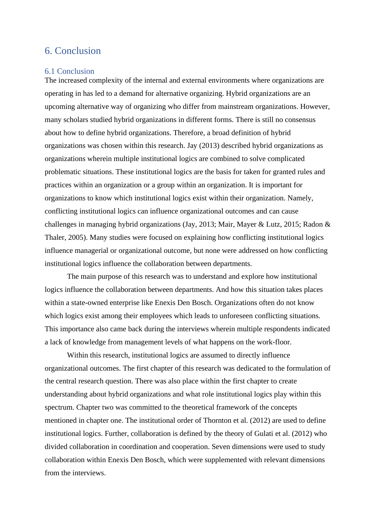## <span id="page-50-0"></span>6. Conclusion

#### <span id="page-50-1"></span>6.1 Conclusion

The increased complexity of the internal and external environments where organizations are operating in has led to a demand for alternative organizing. Hybrid organizations are an upcoming alternative way of organizing who differ from mainstream organizations. However, many scholars studied hybrid organizations in different forms. There is still no consensus about how to define hybrid organizations. Therefore, a broad definition of hybrid organizations was chosen within this research. Jay (2013) described hybrid organizations as organizations wherein multiple institutional logics are combined to solve complicated problematic situations. These institutional logics are the basis for taken for granted rules and practices within an organization or a group within an organization. It is important for organizations to know which institutional logics exist within their organization. Namely, conflicting institutional logics can influence organizational outcomes and can cause challenges in managing hybrid organizations (Jay, 2013; Mair, Mayer & Lutz, 2015; Radon & Thaler, 2005). Many studies were focused on explaining how conflicting institutional logics influence managerial or organizational outcome, but none were addressed on how conflicting institutional logics influence the collaboration between departments.

The main purpose of this research was to understand and explore how institutional logics influence the collaboration between departments. And how this situation takes places within a state-owned enterprise like Enexis Den Bosch. Organizations often do not know which logics exist among their employees which leads to unforeseen conflicting situations. This importance also came back during the interviews wherein multiple respondents indicated a lack of knowledge from management levels of what happens on the work-floor.

Within this research, institutional logics are assumed to directly influence organizational outcomes. The first chapter of this research was dedicated to the formulation of the central research question. There was also place within the first chapter to create understanding about hybrid organizations and what role institutional logics play within this spectrum. Chapter two was committed to the theoretical framework of the concepts mentioned in chapter one. The institutional order of Thornton et al. (2012) are used to define institutional logics. Further, collaboration is defined by the theory of Gulati et al. (2012) who divided collaboration in coordination and cooperation. Seven dimensions were used to study collaboration within Enexis Den Bosch, which were supplemented with relevant dimensions from the interviews.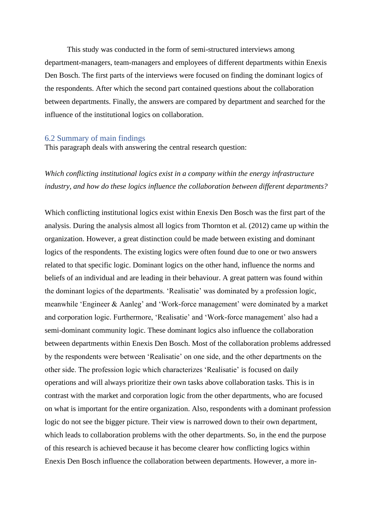This study was conducted in the form of semi-structured interviews among department-managers, team-managers and employees of different departments within Enexis Den Bosch. The first parts of the interviews were focused on finding the dominant logics of the respondents. After which the second part contained questions about the collaboration between departments. Finally, the answers are compared by department and searched for the influence of the institutional logics on collaboration.

### <span id="page-51-0"></span>6.2 Summary of main findings

This paragraph deals with answering the central research question:

*Which conflicting institutional logics exist in a company within the energy infrastructure industry, and how do these logics influence the collaboration between different departments?* 

Which conflicting institutional logics exist within Enexis Den Bosch was the first part of the analysis. During the analysis almost all logics from Thornton et al. (2012) came up within the organization. However, a great distinction could be made between existing and dominant logics of the respondents. The existing logics were often found due to one or two answers related to that specific logic. Dominant logics on the other hand, influence the norms and beliefs of an individual and are leading in their behaviour. A great pattern was found within the dominant logics of the departments. 'Realisatie' was dominated by a profession logic, meanwhile 'Engineer & Aanleg' and 'Work-force management' were dominated by a market and corporation logic. Furthermore, 'Realisatie' and 'Work-force management' also had a semi-dominant community logic. These dominant logics also influence the collaboration between departments within Enexis Den Bosch. Most of the collaboration problems addressed by the respondents were between 'Realisatie' on one side, and the other departments on the other side. The profession logic which characterizes 'Realisatie' is focused on daily operations and will always prioritize their own tasks above collaboration tasks. This is in contrast with the market and corporation logic from the other departments, who are focused on what is important for the entire organization. Also, respondents with a dominant profession logic do not see the bigger picture. Their view is narrowed down to their own department, which leads to collaboration problems with the other departments. So, in the end the purpose of this research is achieved because it has become clearer how conflicting logics within Enexis Den Bosch influence the collaboration between departments. However, a more in-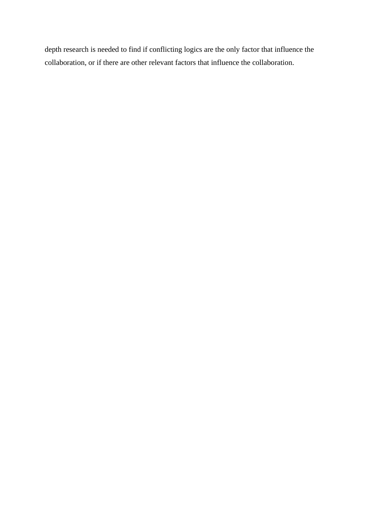depth research is needed to find if conflicting logics are the only factor that influence the collaboration, or if there are other relevant factors that influence the collaboration.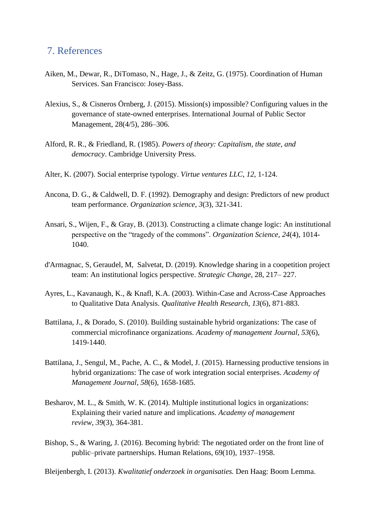## <span id="page-53-0"></span>7. References

- Aiken, M., Dewar, R., DiTomaso, N., Hage, J., & Zeitz, G. (1975). Coordination of Human Services. San Francisco: Josey-Bass.
- Alexius, S., & Cisneros Örnberg, J. (2015). Mission(s) impossible? Configuring values in the governance of state-owned enterprises. International Journal of Public Sector Management, 28(4/5), 286–306.
- Alford, R. R., & Friedland, R. (1985). *Powers of theory: Capitalism, the state, and democracy*. Cambridge University Press.
- Alter, K. (2007). Social enterprise typology. *Virtue ventures LLC*, *12*, 1-124.
- Ancona, D. G., & Caldwell, D. F. (1992). Demography and design: Predictors of new product team performance. *Organization science*, *3*(3), 321-341.
- Ansari, S., Wijen, F., & Gray, B. (2013). Constructing a climate change logic: An institutional perspective on the "tragedy of the commons". *Organization Science*, *24*(4), 1014- 1040.
- d'Armagnac, S, Geraudel, M, Salvetat, D. (2019). Knowledge sharing in a coopetition project team: An institutional logics perspective. *Strategic Change*, 28, 217– 227.
- Ayres, L., Kavanaugh, K., & Knafl, K.A. (2003). Within-Case and Across-Case Approaches to Qualitative Data Analysis. *Qualitative Health Research, 13*(6), 871-883.
- Battilana, J., & Dorado, S. (2010). Building sustainable hybrid organizations: The case of commercial microfinance organizations. *Academy of management Journal*, *53*(6), 1419-1440.
- Battilana, J., Sengul, M., Pache, A. C., & Model, J. (2015). Harnessing productive tensions in hybrid organizations: The case of work integration social enterprises. *Academy of Management Journal*, *58*(6), 1658-1685.
- Besharov, M. L., & Smith, W. K. (2014). Multiple institutional logics in organizations: Explaining their varied nature and implications. *Academy of management review*, *39*(3), 364-381.
- Bishop, S., & Waring, J. (2016). Becoming hybrid: The negotiated order on the front line of public–private partnerships. Human Relations, 69(10), 1937–1958.

Bleijenbergh, I. (2013). *Kwalitatief onderzoek in organisaties.* Den Haag: Boom Lemma.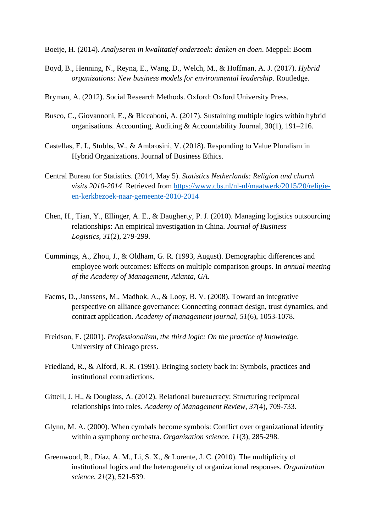- Boeije, H. (2014). *Analyseren in kwalitatief onderzoek: denken en doen*. Meppel: Boom
- Boyd, B., Henning, N., Reyna, E., Wang, D., Welch, M., & Hoffman, A. J. (2017). *Hybrid organizations: New business models for environmental leadership*. Routledge.
- Bryman, A. (2012). Social Research Methods. Oxford: Oxford University Press.
- Busco, C., Giovannoni, E., & Riccaboni, A. (2017). Sustaining multiple logics within hybrid organisations. Accounting, Auditing & Accountability Journal, 30(1), 191–216.
- Castellas, E. I., Stubbs, W., & Ambrosini, V. (2018). Responding to Value Pluralism in Hybrid Organizations. Journal of Business Ethics.
- Central Bureau for Statistics. (2014, May 5). *Statistics Netherlands: Religion and church visits 2010-2014* Retrieved from [https://www.cbs.nl/nl-nl/maatwerk/2015/20/religie](https://www.cbs.nl/nl-nl/maatwerk/2015/20/religie-en-kerkbezoek-naar-gemeente-2010-2014)[en-kerkbezoek-naar-gemeente-2010-2014](https://www.cbs.nl/nl-nl/maatwerk/2015/20/religie-en-kerkbezoek-naar-gemeente-2010-2014)
- Chen, H., Tian, Y., Ellinger, A. E., & Daugherty, P. J. (2010). Managing logistics outsourcing relationships: An empirical investigation in China. *Journal of Business Logistics*, *31*(2), 279-299.
- Cummings, A., Zhou, J., & Oldham, G. R. (1993, August). Demographic differences and employee work outcomes: Effects on multiple comparison groups. In *annual meeting of the Academy of Management, Atlanta, GA*.
- Faems, D., Janssens, M., Madhok, A., & Looy, B. V. (2008). Toward an integrative perspective on alliance governance: Connecting contract design, trust dynamics, and contract application. *Academy of management journal*, *51*(6), 1053-1078.
- Freidson, E. (2001). *Professionalism, the third logic: On the practice of knowledge*. University of Chicago press.
- Friedland, R., & Alford, R. R. (1991). Bringing society back in: Symbols, practices and institutional contradictions.
- Gittell, J. H., & Douglass, A. (2012). Relational bureaucracy: Structuring reciprocal relationships into roles. *Academy of Management Review*, *37*(4), 709-733.
- Glynn, M. A. (2000). When cymbals become symbols: Conflict over organizational identity within a symphony orchestra. *Organization science*, *11*(3), 285-298.
- Greenwood, R., Díaz, A. M., Li, S. X., & Lorente, J. C. (2010). The multiplicity of institutional logics and the heterogeneity of organizational responses. *Organization science*, *21*(2), 521-539.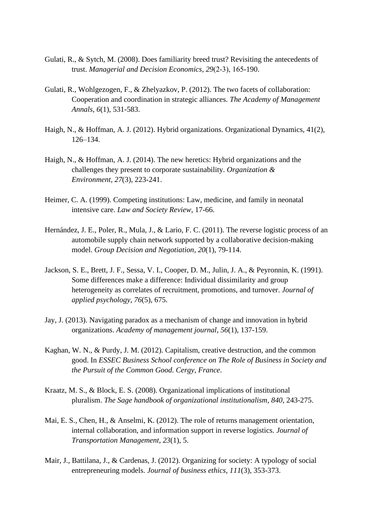- Gulati, R., & Sytch, M. (2008). Does familiarity breed trust? Revisiting the antecedents of trust. *Managerial and Decision Economics*, *29*(2‐3), 165-190.
- Gulati, R., Wohlgezogen, F., & Zhelyazkov, P. (2012). The two facets of collaboration: Cooperation and coordination in strategic alliances. *The Academy of Management Annals*, *6*(1), 531-583.
- Haigh, N., & Hoffman, A. J. (2012). Hybrid organizations. Organizational Dynamics, 41(2), 126–134.
- Haigh, N., & Hoffman, A. J. (2014). The new heretics: Hybrid organizations and the challenges they present to corporate sustainability. *Organization & Environment*, *27*(3), 223-241.
- Heimer, C. A. (1999). Competing institutions: Law, medicine, and family in neonatal intensive care. *Law and Society Review*, 17-66.
- Hernández, J. E., Poler, R., Mula, J., & Lario, F. C. (2011). The reverse logistic process of an automobile supply chain network supported by a collaborative decision-making model. *Group Decision and Negotiation*, *20*(1), 79-114.
- Jackson, S. E., Brett, J. F., Sessa, V. I., Cooper, D. M., Julin, J. A., & Peyronnin, K. (1991). Some differences make a difference: Individual dissimilarity and group heterogeneity as correlates of recruitment, promotions, and turnover. *Journal of applied psychology*, *76*(5), 675.
- Jay, J. (2013). Navigating paradox as a mechanism of change and innovation in hybrid organizations. *Academy of management journal*, *56*(1), 137-159.
- Kaghan, W. N., & Purdy, J. M. (2012). Capitalism, creative destruction, and the common good. In *ESSEC Business School conference on The Role of Business in Society and the Pursuit of the Common Good. Cergy, France*.
- Kraatz, M. S., & Block, E. S. (2008). Organizational implications of institutional pluralism. *The Sage handbook of organizational institutionalism*, *840*, 243-275.
- Mai, E. S., Chen, H., & Anselmi, K. (2012). The role of returns management orientation, internal collaboration, and information support in reverse logistics. *Journal of Transportation Management*, *23*(1), 5.
- Mair, J., Battilana, J., & Cardenas, J. (2012). Organizing for society: A typology of social entrepreneuring models. *Journal of business ethics*, *111*(3), 353-373.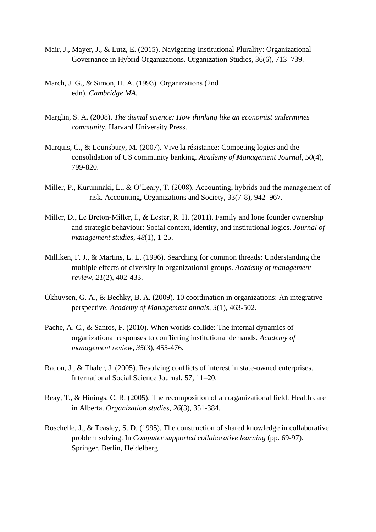- Mair, J., Mayer, J., & Lutz, E. (2015). Navigating Institutional Plurality: Organizational Governance in Hybrid Organizations. Organization Studies, 36(6), 713–739.
- March, J. G., & Simon, H. A. (1993). Organizations (2nd edn). *Cambridge MA.*
- Marglin, S. A. (2008). *The dismal science: How thinking like an economist undermines community*. Harvard University Press.
- Marquis, C., & Lounsbury, M. (2007). Vive la résistance: Competing logics and the consolidation of US community banking. *Academy of Management Journal*, *50*(4), 799-820.
- Miller, P., Kurunmäki, L., & O'Leary, T. (2008). Accounting, hybrids and the management of risk. Accounting, Organizations and Society, 33(7-8), 942–967.
- Miller, D., Le Breton-Miller, I., & Lester, R. H. (2011). Family and lone founder ownership and strategic behaviour: Social context, identity, and institutional logics. *Journal of management studies*, *48*(1), 1-25.
- Milliken, F. J., & Martins, L. L. (1996). Searching for common threads: Understanding the multiple effects of diversity in organizational groups. *Academy of management review*, *21*(2), 402-433.
- Okhuysen, G. A., & Bechky, B. A. (2009). 10 coordination in organizations: An integrative perspective. *Academy of Management annals*, *3*(1), 463-502.
- Pache, A. C., & Santos, F. (2010). When worlds collide: The internal dynamics of organizational responses to conflicting institutional demands. *Academy of management review*, *35*(3), 455-476.
- Radon, J., & Thaler, J. (2005). Resolving conflicts of interest in state-owned enterprises. International Social Science Journal, 57, 11–20.
- Reay, T., & Hinings, C. R. (2005). The recomposition of an organizational field: Health care in Alberta. *Organization studies*, *26*(3), 351-384.
- Roschelle, J., & Teasley, S. D. (1995). The construction of shared knowledge in collaborative problem solving. In *Computer supported collaborative learning* (pp. 69-97). Springer, Berlin, Heidelberg.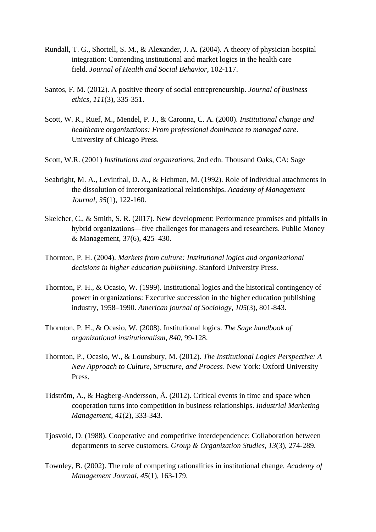- Rundall, T. G., Shortell, S. M., & Alexander, J. A. (2004). A theory of physician-hospital integration: Contending institutional and market logics in the health care field. *Journal of Health and Social Behavior*, 102-117.
- Santos, F. M. (2012). A positive theory of social entrepreneurship. *Journal of business ethics*, *111*(3), 335-351.
- Scott, W. R., Ruef, M., Mendel, P. J., & Caronna, C. A. (2000). *Institutional change and healthcare organizations: From professional dominance to managed care*. University of Chicago Press.
- Scott, W.R. (2001) *Institutions and organzations,* 2nd edn. Thousand Oaks, CA: Sage
- Seabright, M. A., Levinthal, D. A., & Fichman, M. (1992). Role of individual attachments in the dissolution of interorganizational relationships. *Academy of Management Journal*, *35*(1), 122-160.
- Skelcher, C., & Smith, S. R. (2017). New development: Performance promises and pitfalls in hybrid organizations—five challenges for managers and researchers. Public Money & Management, 37(6), 425–430.
- Thornton, P. H. (2004). *Markets from culture: Institutional logics and organizational decisions in higher education publishing*. Stanford University Press.
- Thornton, P. H., & Ocasio, W. (1999). Institutional logics and the historical contingency of power in organizations: Executive succession in the higher education publishing industry, 1958–1990. *American journal of Sociology*, *105*(3), 801-843.
- Thornton, P. H., & Ocasio, W. (2008). Institutional logics. *The Sage handbook of organizational institutionalism*, *840*, 99-128.
- Thornton, P., Ocasio, W., & Lounsbury, M. (2012). *The Institutional Logics Perspective: A New Approach to Culture, Structure, and Process*. New York: Oxford University Press.
- Tidström, A., & Hagberg-Andersson, Å. (2012). Critical events in time and space when cooperation turns into competition in business relationships. *Industrial Marketing Management*, *41*(2), 333-343.
- Tjosvold, D. (1988). Cooperative and competitive interdependence: Collaboration between departments to serve customers. *Group & Organization Studies*, *13*(3), 274-289.
- Townley, B. (2002). The role of competing rationalities in institutional change. *Academy of Management Journal*, *45*(1), 163-179.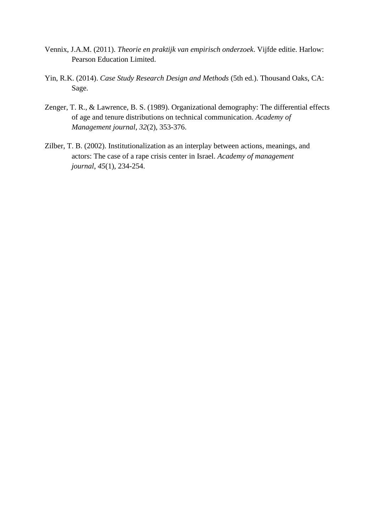- Vennix, J.A.M. (2011). *Theorie en praktijk van empirisch onderzoek*. Vijfde editie. Harlow: Pearson Education Limited.
- Yin, R.K. (2014). *Case Study Research Design and Methods* (5th ed.). Thousand Oaks, CA: Sage.
- Zenger, T. R., & Lawrence, B. S. (1989). Organizational demography: The differential effects of age and tenure distributions on technical communication. *Academy of Management journal*, *32*(2), 353-376.
- Zilber, T. B. (2002). Institutionalization as an interplay between actions, meanings, and actors: The case of a rape crisis center in Israel. *Academy of management journal*, *45*(1), 234-254.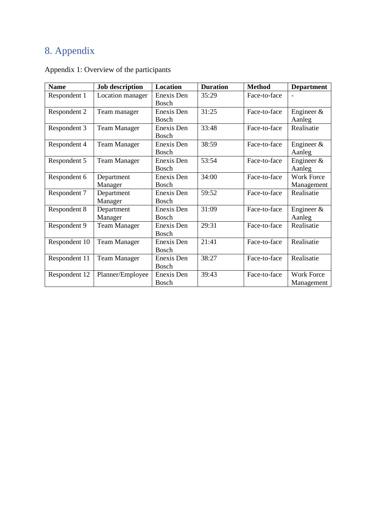# <span id="page-59-0"></span>8. Appendix

| <b>Name</b>   | <b>Job description</b> | <b>Location</b>            | <b>Duration</b> | <b>Method</b> | <b>Department</b>               |
|---------------|------------------------|----------------------------|-----------------|---------------|---------------------------------|
| Respondent 1  | Location manager       | Enexis Den<br><b>Bosch</b> | 35:29           | Face-to-face  |                                 |
| Respondent 2  | Team manager           | Enexis Den<br><b>Bosch</b> | 31:25           | Face-to-face  | Engineer $&$<br>Aanleg          |
| Respondent 3  | <b>Team Manager</b>    | Enexis Den<br><b>Bosch</b> | 33:48           | Face-to-face  | Realisatie                      |
| Respondent 4  | <b>Team Manager</b>    | Enexis Den<br><b>Bosch</b> | 38:59           | Face-to-face  | Engineer $&$<br>Aanleg          |
| Respondent 5  | <b>Team Manager</b>    | Enexis Den<br><b>Bosch</b> | 53:54           | Face-to-face  | Engineer $\&$<br>Aanleg         |
| Respondent 6  | Department<br>Manager  | Enexis Den<br>Bosch        | 34:00           | Face-to-face  | <b>Work Force</b><br>Management |
| Respondent 7  | Department<br>Manager  | Enexis Den<br><b>Bosch</b> | 59:52           | Face-to-face  | Realisatie                      |
| Respondent 8  | Department<br>Manager  | Enexis Den<br><b>Bosch</b> | 31:09           | Face-to-face  | Engineer $\&$<br>Aanleg         |
| Respondent 9  | <b>Team Manager</b>    | Enexis Den<br><b>Bosch</b> | 29:31           | Face-to-face  | Realisatie                      |
| Respondent 10 | <b>Team Manager</b>    | Enexis Den<br><b>Bosch</b> | 21:41           | Face-to-face  | Realisatie                      |
| Respondent 11 | <b>Team Manager</b>    | Enexis Den<br>Bosch        | 38:27           | Face-to-face  | Realisatie                      |
| Respondent 12 | Planner/Employee       | Enexis Den<br><b>Bosch</b> | 39:43           | Face-to-face  | <b>Work Force</b><br>Management |

Appendix 1: Overview of the participants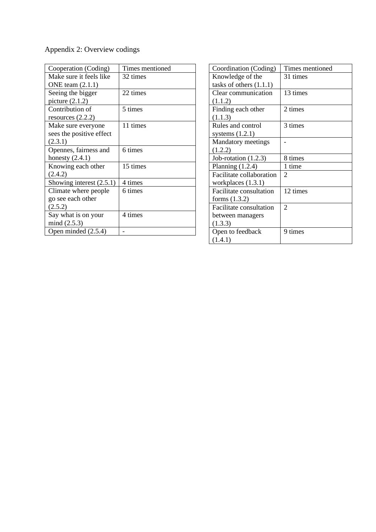Appendix 2: Overview codings

| Cooperation (Coding)       | Times mentioned |
|----------------------------|-----------------|
| Make sure it feels like    | 32 times        |
| ONE team $(2.1.1)$         |                 |
| Seeing the bigger          | 22 times        |
| picture $(2.1.2)$          |                 |
| Contribution of            | 5 times         |
| resources $(2.2.2)$        |                 |
| Make sure everyone         | 11 times        |
| sees the positive effect   |                 |
| (2.3.1)                    |                 |
| Opennes, fairness and      | 6 times         |
| honesty $(2.4.1)$          |                 |
| Knowing each other         | 15 times        |
| (2.4.2)                    |                 |
| Showing interest $(2.5.1)$ | 4 times         |
| Climate where people       | 6 times         |
| go see each other          |                 |
| (2.5.2)                    |                 |
| Say what is on your        | 4 times         |
| mind $(2.5.3)$             |                 |
| Open minded $(2.5.4)$      |                 |

| Coordination (Coding)     | Times mentioned |
|---------------------------|-----------------|
| Knowledge of the          | 31 times        |
| tasks of others $(1.1.1)$ |                 |
| Clear communication       | 13 times        |
| (1.1.2)                   |                 |
| Finding each other        | 2 times         |
| (1.1.3)                   |                 |
| Rules and control         | 3 times         |
| systems $(1.2.1)$         |                 |
| Mandatory meetings        |                 |
| (1.2.2)                   |                 |
| Job-rotation $(1.2.3)$    | 8 times         |
| Planning $(1.2.4)$        | 1 time          |
| Facilitate collaboration  | 2               |
| workplaces $(1.3.1)$      |                 |
| Facilitate consultation   | 12 times        |
| forms $(1.3.2)$           |                 |
| Facilitate consultation   | 2               |
| between managers          |                 |
| (1.3.3)                   |                 |
| Open to feedback          | 9 times         |
| (1.4.1)                   |                 |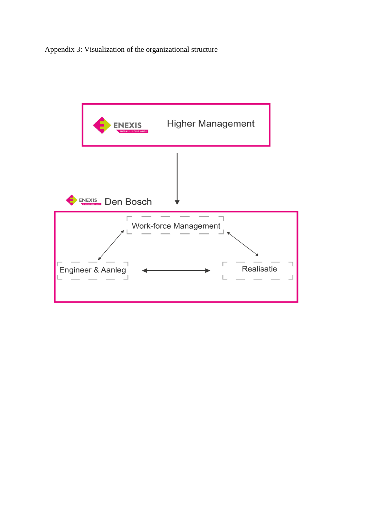Appendix 3: Visualization of the organizational structure

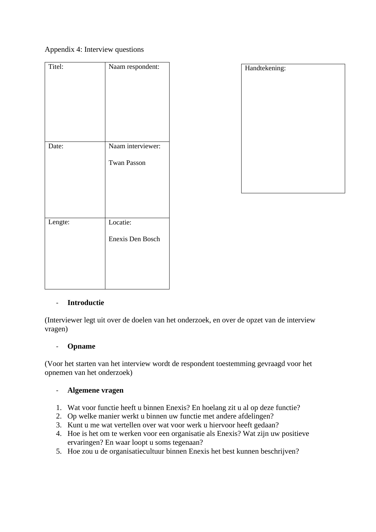### Appendix 4: Interview questions

| Titel:  | Naam respondent:                        |
|---------|-----------------------------------------|
| Date:   | Naam interviewer:<br><b>Twan Passon</b> |
| Lengte: | Locatie:<br><b>Enexis Den Bosch</b>     |

| Handtekening: |
|---------------|
|               |
|               |
|               |
|               |
|               |
|               |
|               |
|               |
|               |
|               |

### - **Introductie**

(Interviewer legt uit over de doelen van het onderzoek, en over de opzet van de interview vragen)

### - **Opname**

(Voor het starten van het interview wordt de respondent toestemming gevraagd voor het opnemen van het onderzoek)

### - **Algemene vragen**

- 1. Wat voor functie heeft u binnen Enexis? En hoelang zit u al op deze functie?
- 2. Op welke manier werkt u binnen uw functie met andere afdelingen?
- 3. Kunt u me wat vertellen over wat voor werk u hiervoor heeft gedaan?
- 4. Hoe is het om te werken voor een organisatie als Enexis? Wat zijn uw positieve ervaringen? En waar loopt u soms tegenaan?
- 5. Hoe zou u de organisatiecultuur binnen Enexis het best kunnen beschrijven?